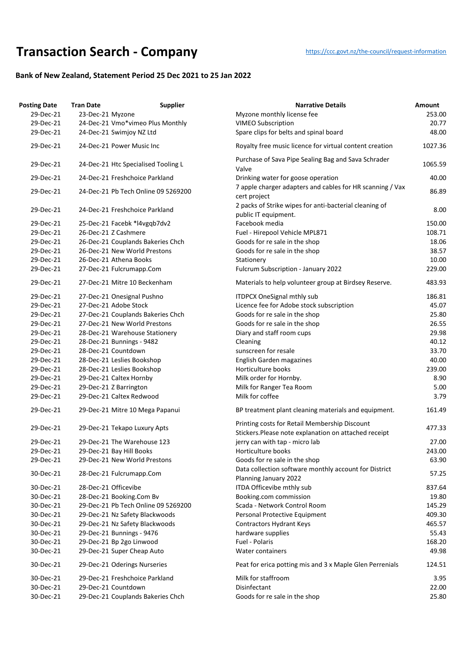## **Transaction Searc[h](https://ccc.govt.nz/the-council/request-information) - Company** https://ccc.govt.nz/the-council/request-information

## **Bank of New Zealand, Statement Period 25 Dec 2021 to 25 Jan 2022**

| <b>Posting Date</b> | <b>Tran Date</b>                    | <b>Supplier</b> | <b>Narrative Details</b>                                                                               | Amount  |
|---------------------|-------------------------------------|-----------------|--------------------------------------------------------------------------------------------------------|---------|
| 29-Dec-21           | 23-Dec-21 Myzone                    |                 | Myzone monthly license fee                                                                             | 253.00  |
| 29-Dec-21           | 24-Dec-21 Vmo*vimeo Plus Monthly    |                 | <b>VIMEO Subscription</b>                                                                              | 20.77   |
| 29-Dec-21           | 24-Dec-21 Swimjoy NZ Ltd            |                 | Spare clips for belts and spinal board                                                                 | 48.00   |
| 29-Dec-21           | 24-Dec-21 Power Music Inc           |                 | Royalty free music licence for virtual content creation                                                | 1027.36 |
| 29-Dec-21           | 24-Dec-21 Htc Specialised Tooling L |                 | Purchase of Sava Pipe Sealing Bag and Sava Schrader<br>Valve                                           | 1065.59 |
| 29-Dec-21           | 24-Dec-21 Freshchoice Parkland      |                 | Drinking water for goose operation                                                                     | 40.00   |
| 29-Dec-21           | 24-Dec-21 Pb Tech Online 09 5269200 |                 | 7 apple charger adapters and cables for HR scanning / Vax<br>cert project                              | 86.89   |
| 29-Dec-21           | 24-Dec-21 Freshchoice Parkland      |                 | 2 packs of Strike wipes for anti-bacterial cleaning of<br>public IT equipment.                         | 8.00    |
| 29-Dec-21           | 25-Dec-21 Facebk *l4vgqb7dv2        |                 | Facebook media                                                                                         | 150.00  |
| 29-Dec-21           | 26-Dec-21 Z Cashmere                |                 | Fuel - Hirepool Vehicle MPL871                                                                         | 108.71  |
| 29-Dec-21           | 26-Dec-21 Couplands Bakeries Chch   |                 | Goods for re sale in the shop                                                                          | 18.06   |
| 29-Dec-21           | 26-Dec-21 New World Prestons        |                 | Goods for re sale in the shop                                                                          | 38.57   |
| 29-Dec-21           | 26-Dec-21 Athena Books              |                 | Stationery                                                                                             | 10.00   |
| 29-Dec-21           | 27-Dec-21 Fulcrumapp.Com            |                 | Fulcrum Subscription - January 2022                                                                    | 229.00  |
| 29-Dec-21           | 27-Dec-21 Mitre 10 Beckenham        |                 | Materials to help volunteer group at Birdsey Reserve.                                                  | 483.93  |
| 29-Dec-21           | 27-Dec-21 Onesignal Pushno          |                 | <b>ITDPCX OneSignal mthly sub</b>                                                                      | 186.81  |
| 29-Dec-21           | 27-Dec-21 Adobe Stock               |                 | Licence fee for Adobe stock subscription                                                               | 45.07   |
| 29-Dec-21           | 27-Dec-21 Couplands Bakeries Chch   |                 | Goods for re sale in the shop                                                                          | 25.80   |
| 29-Dec-21           | 27-Dec-21 New World Prestons        |                 | Goods for re sale in the shop                                                                          | 26.55   |
| 29-Dec-21           | 28-Dec-21 Warehouse Stationery      |                 | Diary and staff room cups                                                                              | 29.98   |
| 29-Dec-21           | 28-Dec-21 Bunnings - 9482           |                 | Cleaning                                                                                               | 40.12   |
| 29-Dec-21           | 28-Dec-21 Countdown                 |                 | sunscreen for resale                                                                                   | 33.70   |
| 29-Dec-21           | 28-Dec-21 Leslies Bookshop          |                 | <b>English Garden magazines</b>                                                                        | 40.00   |
| 29-Dec-21           | 28-Dec-21 Leslies Bookshop          |                 | Horticulture books                                                                                     | 239.00  |
| 29-Dec-21           | 29-Dec-21 Caltex Hornby             |                 | Milk order for Hornby.                                                                                 | 8.90    |
| 29-Dec-21           | 29-Dec-21 Z Barrington              |                 | Milk for Ranger Tea Room                                                                               | 5.00    |
| 29-Dec-21           | 29-Dec-21 Caltex Redwood            |                 | Milk for coffee                                                                                        | 3.79    |
|                     |                                     |                 |                                                                                                        |         |
| 29-Dec-21           | 29-Dec-21 Mitre 10 Mega Papanui     |                 | BP treatment plant cleaning materials and equipment.                                                   | 161.49  |
| 29-Dec-21           | 29-Dec-21 Tekapo Luxury Apts        |                 | Printing costs for Retail Membership Discount<br>Stickers. Please note explanation on attached receipt | 477.33  |
| 29-Dec-21           | 29-Dec-21 The Warehouse 123         |                 | jerry can with tap - micro lab                                                                         | 27.00   |
| 29-Dec-21           | 29-Dec-21 Bay Hill Books            |                 | Horticulture books                                                                                     | 243.00  |
| 29-Dec-21           | 29-Dec-21 New World Prestons        |                 | Goods for re sale in the shop                                                                          | 63.90   |
| 30-Dec-21           | 28-Dec-21 Fulcrumapp.Com            |                 | Data collection software monthly account for District<br>Planning January 2022                         | 57.25   |
| 30-Dec-21           | 28-Dec-21 Officevibe                |                 | ITDA Officevibe mthly sub                                                                              | 837.64  |
| 30-Dec-21           | 28-Dec-21 Booking.Com Bv            |                 | Booking.com commission                                                                                 | 19.80   |
| 30-Dec-21           | 29-Dec-21 Pb Tech Online 09 5269200 |                 | Scada - Network Control Room                                                                           | 145.29  |
| 30-Dec-21           | 29-Dec-21 Nz Safety Blackwoods      |                 | Personal Protective Equipment                                                                          | 409.30  |
| 30-Dec-21           | 29-Dec-21 Nz Safety Blackwoods      |                 | <b>Contractors Hydrant Keys</b>                                                                        | 465.57  |
| 30-Dec-21           | 29-Dec-21 Bunnings - 9476           |                 | hardware supplies                                                                                      | 55.43   |
| 30-Dec-21           | 29-Dec-21 Bp 2go Linwood            |                 | Fuel - Polaris                                                                                         | 168.20  |
| 30-Dec-21           | 29-Dec-21 Super Cheap Auto          |                 | Water containers                                                                                       | 49.98   |
| 30-Dec-21           | 29-Dec-21 Oderings Nurseries        |                 | Peat for erica potting mis and 3 x Maple Glen Perrenials                                               | 124.51  |
| 30-Dec-21           | 29-Dec-21 Freshchoice Parkland      |                 | Milk for staffroom                                                                                     | 3.95    |
| 30-Dec-21           | 29-Dec-21 Countdown                 |                 | Disinfectant                                                                                           | 22.00   |
| 30-Dec-21           | 29-Dec-21 Couplands Bakeries Chch   |                 | Goods for re sale in the shop                                                                          | 25.80   |
|                     |                                     |                 |                                                                                                        |         |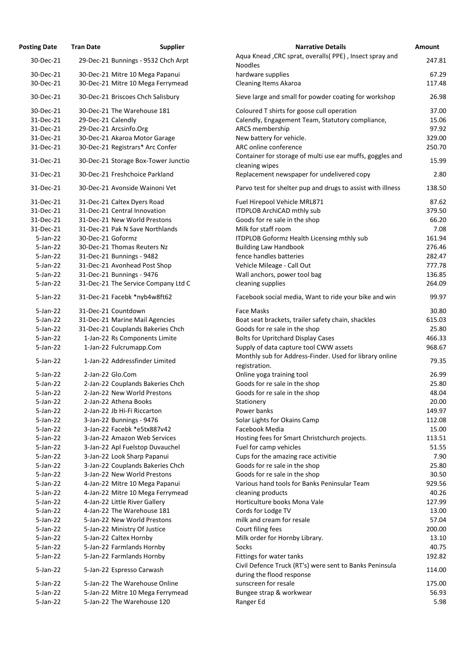| <b>Posting Date</b>    | <b>Tran Date</b>   | <b>Supplier</b>                                                      | <b>Narrative Details</b>                                                             | <b>Amount</b> |
|------------------------|--------------------|----------------------------------------------------------------------|--------------------------------------------------------------------------------------|---------------|
| 30-Dec-21              |                    | 29-Dec-21 Bunnings - 9532 Chch Arpt                                  | Aqua Knead , CRC sprat, overalls (PPE), Insect spray and<br><b>Noodles</b>           | 247.          |
| 30-Dec-21<br>30-Dec-21 |                    | 30-Dec-21 Mitre 10 Mega Papanui<br>30-Dec-21 Mitre 10 Mega Ferrymead | hardware supplies<br><b>Cleaning Items Akaroa</b>                                    | 67.<br>117.   |
| 30-Dec-21              |                    | 30-Dec-21 Briscoes Chch Salisbury                                    | Sieve large and small for powder coating for workshop                                | 26.           |
| 30-Dec-21              |                    | 30-Dec-21 The Warehouse 181                                          | Coloured T shirts for goose cull operation                                           | 37.           |
| 31-Dec-21              | 29-Dec-21 Calendly |                                                                      | Calendly, Engagement Team, Statutory compliance,                                     | 15.           |
| 31-Dec-21              |                    | 29-Dec-21 Arcsinfo.Org                                               | ARCS membership                                                                      | 97.           |
| 31-Dec-21              |                    | 30-Dec-21 Akaroa Motor Garage                                        | New battery for vehicle.                                                             | 329.          |
| 31-Dec-21              |                    | 30-Dec-21 Registrars* Arc Confer                                     | ARC online conference                                                                | 250.          |
| 31-Dec-21              |                    | 30-Dec-21 Storage Box-Tower Junctio                                  | Container for storage of multi use ear muffs, goggles and<br>cleaning wipes          | 15.           |
| 31-Dec-21              |                    | 30-Dec-21 Freshchoice Parkland                                       | Replacement newspaper for undelivered copy                                           | 2.            |
| 31-Dec-21              |                    | 30-Dec-21 Avonside Wainoni Vet                                       | Parvo test for shelter pup and drugs to assist with illness                          | 138.          |
| 31-Dec-21              |                    | 31-Dec-21 Caltex Dyers Road                                          | Fuel Hirepool Vehicle MRL871                                                         | 87.           |
| 31-Dec-21              |                    | 31-Dec-21 Central Innovation                                         | ITDPLOB ArchiCAD mthly sub                                                           | 379.          |
| 31-Dec-21              |                    | 31-Dec-21 New World Prestons                                         | Goods for re sale in the shop                                                        | 66.           |
| 31-Dec-21              |                    | 31-Dec-21 Pak N Save Northlands                                      | Milk for staff room                                                                  | 7.            |
| $5$ -Jan-22            | 30-Dec-21 Goformz  |                                                                      | ITDPLOB Goformz Health Licensing mthly sub                                           | 161.          |
| $5$ -Jan-22            |                    | 30-Dec-21 Thomas Reuters Nz                                          | <b>Building Law Handbook</b>                                                         | 276.          |
| $5$ -Jan-22            |                    | 31-Dec-21 Bunnings - 9482                                            | fence handles batteries                                                              | 282.          |
| $5$ -Jan-22            |                    | 31-Dec-21 Avonhead Post Shop                                         | Vehicle Mileage - Call Out                                                           | 777.          |
| $5$ -Jan-22            |                    | 31-Dec-21 Bunnings - 9476                                            | Wall anchors, power tool bag                                                         | 136.          |
| 5-Jan-22               |                    | 31-Dec-21 The Service Company Ltd C                                  | cleaning supplies                                                                    | 264.          |
| $5$ -Jan-22            |                    | 31-Dec-21 Facebk *nyb4w8ft62                                         | Facebook social media, Want to ride your bike and win                                | 99.           |
| $5$ -Jan-22            |                    | 31-Dec-21 Countdown                                                  | Face Masks                                                                           | 30.           |
| $5$ -Jan-22            |                    | 31-Dec-21 Marine Mail Agencies                                       | Boat seat brackets, trailer safety chain, shackles                                   | 615.          |
| $5$ -Jan-22            |                    | 31-Dec-21 Couplands Bakeries Chch                                    | Goods for re sale in the shop                                                        | 25.           |
| $5$ -Jan-22            |                    | 1-Jan-22 Rs Components Limite                                        | <b>Bolts for Upritchard Display Cases</b>                                            | 466.          |
| $5$ -Jan-22            |                    | 1-Jan-22 Fulcrumapp.Com                                              | Supply of data capture tool CWW assets                                               | 968.          |
| $5$ -Jan-22            |                    | 1-Jan-22 Addressfinder Limited                                       | Monthly sub for Address-Finder. Used for library online<br>registration.             | 79.           |
| $5$ -Jan-22            |                    | 2-Jan-22 Glo.Com                                                     | Online yoga training tool                                                            | 26.           |
| $5$ -Jan-22            |                    | 2-Jan-22 Couplands Bakeries Chch                                     | Goods for re sale in the shop                                                        | 25.           |
| $5$ -Jan-22            |                    | 2-Jan-22 New World Prestons                                          | Goods for re sale in the shop                                                        | 48.           |
| $5$ -Jan-22            |                    | 2-Jan-22 Athena Books                                                | Stationery                                                                           | 20.           |
| $5$ -Jan-22            |                    | 2-Jan-22 Jb Hi-Fi Riccarton                                          | Power banks                                                                          | 149.          |
| $5$ -Jan-22            |                    | 3-Jan-22 Bunnings - 9476                                             | Solar Lights for Okains Camp                                                         | 112.          |
| $5$ -Jan-22            |                    | 3-Jan-22 Facebk *e5tx887v42                                          | Facebook Media                                                                       | 15.           |
| $5$ -Jan-22            |                    | 3-Jan-22 Amazon Web Services                                         | Hosting fees for Smart Christchurch projects.                                        | 113.          |
| $5$ -Jan-22            |                    | 3-Jan-22 Apl Fuelstop Duvauchel                                      | Fuel for camp vehicles                                                               | 51.           |
| $5$ -Jan-22            |                    | 3-Jan-22 Look Sharp Papanui                                          | Cups for the amazing race activitie                                                  | 7.            |
| $5$ -Jan-22            |                    | 3-Jan-22 Couplands Bakeries Chch                                     | Goods for re sale in the shop                                                        | 25.           |
| $5$ -Jan-22            |                    | 3-Jan-22 New World Prestons                                          | Goods for re sale in the shop                                                        | 30.           |
| $5$ -Jan-22            |                    | 4-Jan-22 Mitre 10 Mega Papanui                                       | Various hand tools for Banks Peninsular Team                                         | 929.          |
| $5$ -Jan-22            |                    | 4-Jan-22 Mitre 10 Mega Ferrymead                                     | cleaning products                                                                    | 40.           |
| 5-Jan-22               |                    | 4-Jan-22 Little River Gallery                                        | Horticulture books Mona Vale                                                         | 127.          |
| $5$ -Jan-22            |                    | 4-Jan-22 The Warehouse 181                                           | Cords for Lodge TV                                                                   | 13.           |
| $5$ -Jan-22            |                    | 5-Jan-22 New World Prestons                                          | milk and cream for resale                                                            | 57.           |
| $5$ -Jan-22            |                    | 5-Jan-22 Ministry Of Justice                                         | Court filing fees                                                                    | 200.          |
| 5-Jan-22               |                    | 5-Jan-22 Caltex Hornby                                               | Milk order for Hornby Library.                                                       | 13.           |
| $5$ -Jan-22            |                    | 5-Jan-22 Farmlands Hornby                                            | Socks                                                                                | 40.           |
| $5$ -Jan-22            |                    | 5-Jan-22 Farmlands Hornby                                            | Fittings for water tanks                                                             | 192.          |
| 5-Jan-22               |                    | 5-Jan-22 Espresso Carwash                                            | Civil Defence Truck (RT's) were sent to Banks Peninsula<br>during the flood response | 114.          |
| 5-Jan-22               |                    | 5-Jan-22 The Warehouse Online                                        | sunscreen for resale                                                                 | 175.          |
| 5-Jan-22               |                    | 5-Jan-22 Mitre 10 Mega Ferrymead                                     | Bungee strap & workwear                                                              | 56.           |
| 5-Jan-22               |                    | 5-Jan-22 The Warehouse 120                                           | Ranger Ed                                                                            | 5.            |

| ung Date    | Tran Date          | <b>Supplier</b>                     | Natiduve Details                                            | <b>AIIIUUIIL</b> |
|-------------|--------------------|-------------------------------------|-------------------------------------------------------------|------------------|
| 30-Dec-21   |                    | 29-Dec-21 Bunnings - 9532 Chch Arpt | Aqua Knead, CRC sprat, overalls (PPE), Insect spray and     | 247.81           |
|             |                    |                                     | <b>Noodles</b>                                              |                  |
| 30-Dec-21   |                    | 30-Dec-21 Mitre 10 Mega Papanui     | hardware supplies                                           | 67.29            |
| 30-Dec-21   |                    | 30-Dec-21 Mitre 10 Mega Ferrymead   | <b>Cleaning Items Akaroa</b>                                | 117.48           |
|             |                    |                                     |                                                             |                  |
| 30-Dec-21   |                    | 30-Dec-21 Briscoes Chch Salisbury   | Sieve large and small for powder coating for workshop       | 26.98            |
| 30-Dec-21   |                    | 30-Dec-21 The Warehouse 181         | Coloured T shirts for goose cull operation                  | 37.00            |
| 31-Dec-21   | 29-Dec-21 Calendly |                                     | Calendly, Engagement Team, Statutory compliance,            | 15.06            |
| 31-Dec-21   |                    | 29-Dec-21 Arcsinfo.Org              | ARCS membership                                             | 97.92            |
| 31-Dec-21   |                    | 30-Dec-21 Akaroa Motor Garage       | New battery for vehicle.                                    | 329.00           |
| 31-Dec-21   |                    | 30-Dec-21 Registrars* Arc Confer    | ARC online conference                                       | 250.70           |
|             |                    |                                     | Container for storage of multi use ear muffs, goggles and   |                  |
| 31-Dec-21   |                    | 30-Dec-21 Storage Box-Tower Junctio | cleaning wipes                                              | 15.99            |
|             |                    | 30-Dec-21 Freshchoice Parkland      |                                                             |                  |
| 31-Dec-21   |                    |                                     | Replacement newspaper for undelivered copy                  | 2.80             |
| 31-Dec-21   |                    | 30-Dec-21 Avonside Wainoni Vet      | Parvo test for shelter pup and drugs to assist with illness | 138.50           |
| 31-Dec-21   |                    | 31-Dec-21 Caltex Dyers Road         | Fuel Hirepool Vehicle MRL871                                | 87.62            |
| 31-Dec-21   |                    | 31-Dec-21 Central Innovation        | ITDPLOB ArchiCAD mthly sub                                  | 379.50           |
| 31-Dec-21   |                    | 31-Dec-21 New World Prestons        | Goods for re sale in the shop                               | 66.20            |
| 31-Dec-21   |                    | 31-Dec-21 Pak N Save Northlands     | Milk for staff room                                         | 7.08             |
| 5-Jan-22    | 30-Dec-21 Goformz  |                                     | ITDPLOB Goformz Health Licensing mthly sub                  | 161.94           |
| 5-Jan-22    |                    | 30-Dec-21 Thomas Reuters Nz         | <b>Building Law Handbook</b>                                | 276.46           |
| 5-Jan-22    |                    | 31-Dec-21 Bunnings - 9482           | fence handles batteries                                     | 282.47           |
| 5-Jan-22    |                    | 31-Dec-21 Avonhead Post Shop        | Vehicle Mileage - Call Out                                  | 777.78           |
|             |                    |                                     |                                                             |                  |
| 5-Jan-22    |                    | 31-Dec-21 Bunnings - 9476           | Wall anchors, power tool bag                                | 136.85           |
| 5-Jan-22    |                    | 31-Dec-21 The Service Company Ltd C | cleaning supplies                                           | 264.09           |
| $5$ -Jan-22 |                    | 31-Dec-21 Facebk *nyb4w8ft62        | Facebook social media, Want to ride your bike and win       | 99.97            |
| 5-Jan-22    |                    | 31-Dec-21 Countdown                 | <b>Face Masks</b>                                           | 30.80            |
| $5$ -Jan-22 |                    | 31-Dec-21 Marine Mail Agencies      | Boat seat brackets, trailer safety chain, shackles          | 615.03           |
| 5-Jan-22    |                    | 31-Dec-21 Couplands Bakeries Chch   | Goods for re sale in the shop                               | 25.80            |
| 5-Jan-22    |                    | 1-Jan-22 Rs Components Limite       | <b>Bolts for Upritchard Display Cases</b>                   | 466.33           |
| $5$ -Jan-22 |                    | 1-Jan-22 Fulcrumapp.Com             | Supply of data capture tool CWW assets                      | 968.67           |
|             |                    |                                     | Monthly sub for Address-Finder. Used for library online     |                  |
| 5-Jan-22    |                    | 1-Jan-22 Addressfinder Limited      | registration.                                               | 79.35            |
| 5-Jan-22    |                    | 2-Jan-22 Glo.Com                    | Online yoga training tool                                   | 26.99            |
| 5-Jan-22    |                    | 2-Jan-22 Couplands Bakeries Chch    | Goods for re sale in the shop                               | 25.80            |
| 5-Jan-22    |                    | 2-Jan-22 New World Prestons         | Goods for re sale in the shop                               | 48.04            |
| 5-Jan-22    |                    | 2-Jan-22 Athena Books               | Stationery                                                  | 20.00            |
| 5-Jan-22    |                    | 2-Jan-22 Jb Hi-Fi Riccarton         | Power banks                                                 | 149.97           |
| 5-Jan-22    |                    | 3-Jan-22 Bunnings - 9476            | Solar Lights for Okains Camp                                | 112.08           |
| 5-Jan-22    |                    | 3-Jan-22 Facebk *e5tx887v42         | Facebook Media                                              | 15.00            |
| 5-Jan-22    |                    | 3-Jan-22 Amazon Web Services        | Hosting fees for Smart Christchurch projects.               | 113.51           |
|             |                    |                                     |                                                             |                  |
| 5-Jan-22    |                    | 3-Jan-22 Apl Fuelstop Duvauchel     | Fuel for camp vehicles                                      | 51.55            |
| 5-Jan-22    |                    | 3-Jan-22 Look Sharp Papanui         | Cups for the amazing race activitie                         | 7.90             |
| $5$ -Jan-22 |                    | 3-Jan-22 Couplands Bakeries Chch    | Goods for re sale in the shop                               | 25.80            |
| 5-Jan-22    |                    | 3-Jan-22 New World Prestons         | Goods for re sale in the shop                               | 30.50            |
| 5-Jan-22    |                    | 4-Jan-22 Mitre 10 Mega Papanui      | Various hand tools for Banks Peninsular Team                | 929.56           |
| 5-Jan-22    |                    | 4-Jan-22 Mitre 10 Mega Ferrymead    | cleaning products                                           | 40.26            |
| $5$ -Jan-22 |                    | 4-Jan-22 Little River Gallery       | Horticulture books Mona Vale                                | 127.99           |
| 5-Jan-22    |                    | 4-Jan-22 The Warehouse 181          | Cords for Lodge TV                                          | 13.00            |
| 5-Jan-22    |                    | 5-Jan-22 New World Prestons         | milk and cream for resale                                   | 57.04            |
| 5-Jan-22    |                    | 5-Jan-22 Ministry Of Justice        | Court filing fees                                           | 200.00           |
| 5-Jan-22    |                    | 5-Jan-22 Caltex Hornby              | Milk order for Hornby Library.                              | 13.10            |
| $5$ -Jan-22 |                    | 5-Jan-22 Farmlands Hornby           | Socks                                                       | 40.75            |
| 5-Jan-22    |                    | 5-Jan-22 Farmlands Hornby           | Fittings for water tanks                                    | 192.82           |
|             |                    |                                     | Civil Defence Truck (RT's) were sent to Banks Peninsula     |                  |
| 5-Jan-22    |                    | 5-Jan-22 Espresso Carwash           | during the flood response                                   | 114.00           |
| $5$ -Jan-22 |                    | 5-Jan-22 The Warehouse Online       | sunscreen for resale                                        | 175.00           |
| 5-Jan-22    |                    | 5-Jan-22 Mitre 10 Mega Ferrymead    | Bungee strap & workwear                                     | 56.93            |
| $5$ -Jan-22 |                    | 5-Jan-22 The Warehouse 120          | Ranger Ed                                                   | 5.98             |
|             |                    |                                     |                                                             |                  |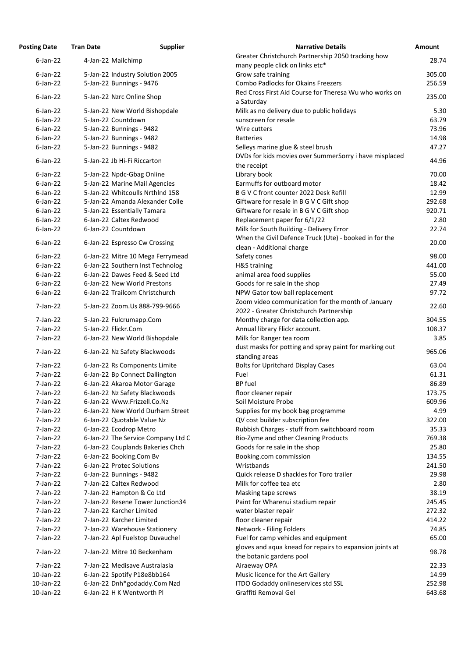| <b>Posting Date</b>  | <b>Tran Date</b>    | <b>Supplier</b>                                                | <b>Narrative Details</b>                                                                         | <b>Amount</b>  |
|----------------------|---------------------|----------------------------------------------------------------|--------------------------------------------------------------------------------------------------|----------------|
| $6$ -Jan-22          | 4-Jan-22 Mailchimp  |                                                                | Greater Christchurch Partnership 2050 tracking how<br>many people click on links etc*            | 28.74          |
| $6$ -Jan-22          |                     | 5-Jan-22 Industry Solution 2005                                | Grow safe training                                                                               | 305.00         |
| $6$ -Jan-22          |                     | 5-Jan-22 Bunnings - 9476                                       | <b>Combo Padlocks for Okains Freezers</b>                                                        | 256.59         |
| $6$ -Jan-22          |                     | 5-Jan-22 Nzrc Online Shop                                      | Red Cross First Aid Course for Theresa Wu who works on                                           | 235.00         |
| $6$ -Jan-22          |                     | 5-Jan-22 New World Bishopdale                                  | a Saturday<br>Milk as no delivery due to public holidays                                         | 5.30           |
| $6$ -Jan-22          | 5-Jan-22 Countdown  |                                                                | sunscreen for resale                                                                             | 63.79          |
| $6$ -Jan-22          |                     | 5-Jan-22 Bunnings - 9482                                       | Wire cutters                                                                                     | 73.96          |
| $6$ -Jan-22          |                     | 5-Jan-22 Bunnings - 9482                                       | <b>Batteries</b>                                                                                 | 14.98          |
|                      |                     |                                                                |                                                                                                  |                |
| $6$ -Jan-22          |                     | 5-Jan-22 Bunnings - 9482                                       | Selleys marine glue & steel brush<br>DVDs for kids movies over SummerSorry i have misplaced      | 47.27          |
| $6$ -Jan-22          |                     | 5-Jan-22 Jb Hi-Fi Riccarton                                    | the receipt                                                                                      | 44.96          |
| $6$ -Jan-22          |                     | 5-Jan-22 Npdc-Gbag Online                                      | Library book                                                                                     | 70.00          |
| $6$ -Jan-22          |                     | 5-Jan-22 Marine Mail Agencies                                  | Earmuffs for outboard motor                                                                      | 18.42          |
| $6$ -Jan-22          |                     | 5-Jan-22 Whitcoulls Nrthlnd 158                                | B G V C front counter 2022 Desk Refill                                                           | 12.99          |
| $6$ -Jan-22          |                     | 5-Jan-22 Amanda Alexander Colle                                | Giftware for resale in B G V C Gift shop                                                         | 292.68         |
| $6$ -Jan-22          |                     | 5-Jan-22 Essentially Tamara                                    | Giftware for resale in B G V C Gift shop                                                         | 920.71         |
| $6$ -Jan-22          |                     | 6-Jan-22 Caltex Redwood                                        | Replacement paper for 6/1/22                                                                     | 2.80           |
| $6$ -Jan-22          | 6-Jan-22 Countdown  |                                                                | Milk for South Building - Delivery Error                                                         | 22.74          |
| $6$ -Jan-22          |                     | 6-Jan-22 Espresso Cw Crossing                                  | When the Civil Defence Truck (Ute) - booked in for the<br>clean - Additional charge              | 20.00          |
| $6$ -Jan-22          |                     | 6-Jan-22 Mitre 10 Mega Ferrymead                               | Safety cones                                                                                     | 98.00          |
| $6$ -Jan-22          |                     | 6-Jan-22 Southern Inst Technolog                               | H&S training                                                                                     | 441.00         |
| $6$ -Jan-22          |                     | 6-Jan-22 Dawes Feed & Seed Ltd                                 | animal area food supplies                                                                        | 55.00          |
| $6$ -Jan-22          |                     | 6-Jan-22 New World Prestons                                    | Goods for re sale in the shop                                                                    | 27.49          |
| $6$ -Jan-22          |                     | 6-Jan-22 Trailcom Christchurch                                 | NPW Gator tow ball replacement                                                                   | 97.72          |
| 7-Jan-22             |                     | 5-Jan-22 Zoom.Us 888-799-9666                                  | Zoom video communication for the month of January<br>2022 - Greater Christchurch Partnership     | 22.60          |
| 7-Jan-22             |                     |                                                                | Monthy charge for data collection app.                                                           | 304.55         |
| 7-Jan-22             | 5-Jan-22 Flickr.Com | 5-Jan-22 Fulcrumapp.Com                                        | Annual library Flickr account.                                                                   | 108.37         |
| 7-Jan-22             |                     | 6-Jan-22 New World Bishopdale                                  | Milk for Ranger tea room                                                                         | 3.85           |
| 7-Jan-22             |                     | 6-Jan-22 Nz Safety Blackwoods                                  | dust masks for potting and spray paint for marking out                                           | 965.06         |
| 7-Jan-22             |                     | 6-Jan-22 Rs Components Limite                                  | standing areas<br><b>Bolts for Upritchard Display Cases</b>                                      | 63.04          |
| 7-Jan-22             |                     | 6-Jan-22 Bp Connect Dallington                                 | Fuel                                                                                             | 61.31          |
| 7-Jan-22             |                     | 6-Jan-22 Akaroa Motor Garage                                   | <b>BP</b> fuel                                                                                   | 86.89          |
| 7-Jan-22             |                     | 6-Jan-22 Nz Safety Blackwoods                                  |                                                                                                  | 173.75         |
| $7$ -Jan-22          |                     | 6-Jan-22 Www.Frizzell.Co.Nz                                    | floor cleaner repair<br>Soil Moisture Probe                                                      | 609.96         |
| $7$ -Jan-22          |                     | 6-Jan-22 New World Durham Street                               |                                                                                                  | 4.99           |
| 7-Jan-22             |                     |                                                                | Supplies for my book bag programme                                                               |                |
|                      |                     | 6-Jan-22 Quotable Value Nz                                     | QV cost builder subscription fee                                                                 | 322.00         |
| 7-Jan-22             |                     | 6-Jan-22 Ecodrop Metro                                         | Rubbish Charges - stuff from switchboard room                                                    | 35.33          |
| 7-Jan-22             |                     | 6-Jan-22 The Service Company Ltd C                             | Bio-Zyme and other Cleaning Products                                                             | 769.38         |
| 7-Jan-22             |                     | 6-Jan-22 Couplands Bakeries Chch                               | Goods for re sale in the shop                                                                    | 25.80          |
| 7-Jan-22             |                     | 6-Jan-22 Booking.Com Bv                                        | Booking.com commission                                                                           | 134.55         |
| 7-Jan-22             |                     | 6-Jan-22 Protec Solutions                                      | Wristbands                                                                                       | 241.50         |
| 7-Jan-22             |                     | 6-Jan-22 Bunnings - 9482                                       | Quick release D shackles for Toro trailer                                                        | 29.98          |
| 7-Jan-22             |                     | 7-Jan-22 Caltex Redwood                                        | Milk for coffee tea etc                                                                          | 2.80           |
| 7-Jan-22             |                     | 7-Jan-22 Hampton & Co Ltd                                      | Masking tape screws                                                                              | 38.19          |
| 7-Jan-22             |                     | 7-Jan-22 Resene Tower Junction34                               | Paint for Wharenui stadium repair                                                                | 245.45         |
| $7$ -Jan-22          |                     | 7-Jan-22 Karcher Limited                                       | water blaster repair                                                                             | 272.32         |
| 7-Jan-22             |                     | 7-Jan-22 Karcher Limited                                       | floor cleaner repair                                                                             | 414.22         |
| 7-Jan-22             |                     | 7-Jan-22 Warehouse Stationery                                  | Network - Filing Folders                                                                         | 74.85          |
| 7-Jan-22<br>7-Jan-22 |                     | 7-Jan-22 Apl Fuelstop Duvauchel<br>7-Jan-22 Mitre 10 Beckenham | Fuel for camp vehicles and equipment<br>gloves and aqua knead for repairs to expansion joints at | 65.00<br>98.78 |
|                      |                     |                                                                | the botanic gardens pool                                                                         |                |
| 7-Jan-22             |                     | 7-Jan-22 Medisave Australasia                                  | Airaeway OPA                                                                                     | 22.33          |
| 10-Jan-22            |                     | 6-Jan-22 Spotify P18e8bb164                                    | Music licence for the Art Gallery                                                                | 14.99          |
| 10-Jan-22            |                     | 6-Jan-22 Dnh*godaddy.Com Nzd                                   | ITDO Godaddy onlineservices std SSL                                                              | 252.98         |
| 10-Jan-22            |                     | 6-Jan-22 H K Wentworth Pl                                      | Graffiti Removal Gel                                                                             | 643.68         |

| ing Date    | Tran Date | Supplier                           | Narrative Details                                                                            | Amount |
|-------------|-----------|------------------------------------|----------------------------------------------------------------------------------------------|--------|
| $6$ -Jan-22 |           | 4-Jan-22 Mailchimp                 | Greater Christchurch Partnership 2050 tracking how                                           | 28.74  |
|             |           |                                    | many people click on links etc*                                                              |        |
| $6$ -Jan-22 |           | 5-Jan-22 Industry Solution 2005    | Grow safe training                                                                           | 305.00 |
| $6$ -Jan-22 |           | 5-Jan-22 Bunnings - 9476           | <b>Combo Padlocks for Okains Freezers</b>                                                    | 256.59 |
| $6$ -Jan-22 |           | 5-Jan-22 Nzrc Online Shop          | Red Cross First Aid Course for Theresa Wu who works on<br>a Saturday                         | 235.00 |
| $6$ -Jan-22 |           | 5-Jan-22 New World Bishopdale      | Milk as no delivery due to public holidays                                                   | 5.30   |
| $6$ -Jan-22 |           | 5-Jan-22 Countdown                 | sunscreen for resale                                                                         | 63.79  |
| $6$ -Jan-22 |           | 5-Jan-22 Bunnings - 9482           | Wire cutters                                                                                 | 73.96  |
| $6$ -Jan-22 |           | 5-Jan-22 Bunnings - 9482           | <b>Batteries</b>                                                                             | 14.98  |
| $6$ -Jan-22 |           | 5-Jan-22 Bunnings - 9482           | Selleys marine glue & steel brush                                                            | 47.27  |
| $6$ -Jan-22 |           | 5-Jan-22 Jb Hi-Fi Riccarton        | DVDs for kids movies over SummerSorry i have misplaced                                       | 44.96  |
|             |           |                                    | the receipt                                                                                  |        |
| $6$ -Jan-22 |           | 5-Jan-22 Npdc-Gbag Online          | Library book                                                                                 | 70.00  |
| $6$ -Jan-22 |           | 5-Jan-22 Marine Mail Agencies      | Earmuffs for outboard motor                                                                  | 18.42  |
| $6$ -Jan-22 |           | 5-Jan-22 Whitcoulls Nrthlnd 158    | B G V C front counter 2022 Desk Refill                                                       | 12.99  |
| $6$ -Jan-22 |           | 5-Jan-22 Amanda Alexander Colle    | Giftware for resale in B G V C Gift shop                                                     | 292.68 |
| $6$ -Jan-22 |           | 5-Jan-22 Essentially Tamara        | Giftware for resale in B G V C Gift shop                                                     | 920.71 |
| $6$ -Jan-22 |           | 6-Jan-22 Caltex Redwood            | Replacement paper for 6/1/22                                                                 | 2.80   |
| $6$ -Jan-22 |           | 6-Jan-22 Countdown                 | Milk for South Building - Delivery Error                                                     | 22.74  |
| $6$ -Jan-22 |           | 6-Jan-22 Espresso Cw Crossing      | When the Civil Defence Truck (Ute) - booked in for the                                       | 20.00  |
|             |           |                                    | clean - Additional charge                                                                    |        |
| $6$ -Jan-22 |           | 6-Jan-22 Mitre 10 Mega Ferrymead   | Safety cones                                                                                 | 98.00  |
| $6$ -Jan-22 |           | 6-Jan-22 Southern Inst Technolog   | H&S training                                                                                 | 441.00 |
| $6$ -Jan-22 |           | 6-Jan-22 Dawes Feed & Seed Ltd     | animal area food supplies                                                                    | 55.00  |
| $6$ -Jan-22 |           | 6-Jan-22 New World Prestons        | Goods for re sale in the shop                                                                | 27.49  |
| $6$ -Jan-22 |           | 6-Jan-22 Trailcom Christchurch     | NPW Gator tow ball replacement                                                               | 97.72  |
| 7-Jan-22    |           | 5-Jan-22 Zoom.Us 888-799-9666      | Zoom video communication for the month of January<br>2022 - Greater Christchurch Partnership | 22.60  |
| 7-Jan-22    |           | 5-Jan-22 Fulcrumapp.Com            | Monthy charge for data collection app.                                                       | 304.55 |
| 7-Jan-22    |           | 5-Jan-22 Flickr.Com                | Annual library Flickr account.                                                               | 108.37 |
| 7-Jan-22    |           | 6-Jan-22 New World Bishopdale      | Milk for Ranger tea room                                                                     | 3.85   |
| 7-Jan-22    |           | 6-Jan-22 Nz Safety Blackwoods      | dust masks for potting and spray paint for marking out                                       | 965.06 |
|             |           |                                    | standing areas                                                                               |        |
| 7-Jan-22    |           | 6-Jan-22 Rs Components Limite      | <b>Bolts for Upritchard Display Cases</b>                                                    | 63.04  |
| 7-Jan-22    |           | 6-Jan-22 Bp Connect Dallington     | Fuel                                                                                         | 61.31  |
| 7-Jan-22    |           | 6-Jan-22 Akaroa Motor Garage       | <b>BP</b> fuel                                                                               | 86.89  |
| 7-Jan-22    |           | 6-Jan-22 Nz Safety Blackwoods      | floor cleaner repair                                                                         | 173.75 |
| 7-Jan-22    |           | 6-Jan-22 Www.Frizzell.Co.Nz        | Soil Moisture Probe                                                                          | 609.96 |
| 7-Jan-22    |           | 6-Jan-22 New World Durham Street   | Supplies for my book bag programme                                                           | 4.99   |
| 7-Jan-22    |           | 6-Jan-22 Quotable Value Nz         | QV cost builder subscription fee                                                             | 322.00 |
| 7-Jan-22    |           | 6-Jan-22 Ecodrop Metro             | Rubbish Charges - stuff from switchboard room                                                | 35.33  |
| 7-Jan-22    |           | 6-Jan-22 The Service Company Ltd C | Bio-Zyme and other Cleaning Products                                                         | 769.38 |
| 7-Jan-22    |           | 6-Jan-22 Couplands Bakeries Chch   | Goods for re sale in the shop                                                                | 25.80  |
| 7-Jan-22    |           | 6-Jan-22 Booking.Com Bv            | Booking.com commission                                                                       | 134.55 |
| 7-Jan-22    |           | 6-Jan-22 Protec Solutions          | Wristbands                                                                                   | 241.50 |
| 7-Jan-22    |           | 6-Jan-22 Bunnings - 9482           | Quick release D shackles for Toro trailer                                                    | 29.98  |
| 7-Jan-22    |           | 7-Jan-22 Caltex Redwood            | Milk for coffee tea etc                                                                      | 2.80   |
| 7-Jan-22    |           | 7-Jan-22 Hampton & Co Ltd          | Masking tape screws                                                                          | 38.19  |
| 7-Jan-22    |           | 7-Jan-22 Resene Tower Junction34   | Paint for Wharenui stadium repair                                                            | 245.45 |
| 7-Jan-22    |           | 7-Jan-22 Karcher Limited           | water blaster repair                                                                         | 272.32 |
| 7-Jan-22    |           | 7-Jan-22 Karcher Limited           | floor cleaner repair                                                                         | 414.22 |
| 7-Jan-22    |           | 7-Jan-22 Warehouse Stationery      | Network - Filing Folders                                                                     | 74.85  |
| 7-Jan-22    |           | 7-Jan-22 Apl Fuelstop Duvauchel    | Fuel for camp vehicles and equipment                                                         | 65.00  |
| 7-Jan-22    |           | 7-Jan-22 Mitre 10 Beckenham        | gloves and aqua knead for repairs to expansion joints at<br>the botanic gardens pool         | 98.78  |
| 7-Jan-22    |           | 7-Jan-22 Medisave Australasia      | Airaeway OPA                                                                                 | 22.33  |
| 10-Jan-22   |           | 6-Jan-22 Spotify P18e8bb164        | Music licence for the Art Gallery                                                            | 14.99  |
| 10-Jan-22   |           | 6-Jan-22 Dnh*godaddy.Com Nzd       | <b>ITDO Godaddy onlineservices std SSL</b>                                                   | 252.98 |
| 10-Jan-22   |           | 6-Jan-22 H K Wentworth Pl          | Graffiti Removal Gel                                                                         | 643.68 |
|             |           |                                    |                                                                                              |        |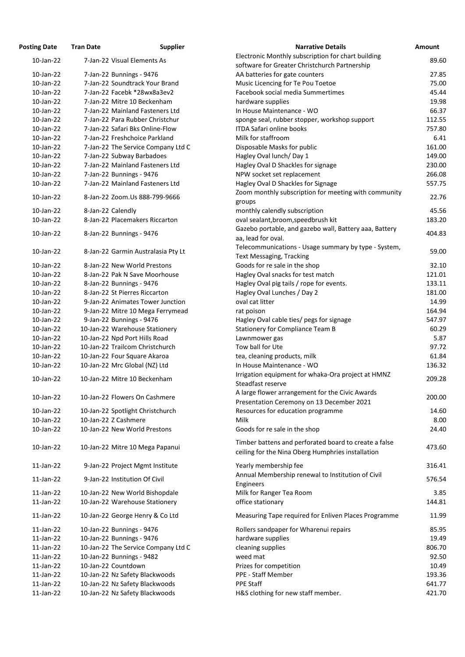| <b>Posting Date</b> | <b>Tran Date</b>     | <b>Supplier</b>                     | <b>Narrative Details</b>                               | Amount |
|---------------------|----------------------|-------------------------------------|--------------------------------------------------------|--------|
| 10-Jan-22           |                      | 7-Jan-22 Visual Elements As         | Electronic Monthly subscription for chart building     | 89.60  |
|                     |                      |                                     | software for Greater Christchurch Partnership          |        |
| 10-Jan-22           |                      | 7-Jan-22 Bunnings - 9476            | AA batteries for gate counters                         | 27.85  |
| $10$ -Jan-22        |                      | 7-Jan-22 Soundtrack Your Brand      | Music Licencing for Te Pou Toetoe                      | 75.00  |
| 10-Jan-22           |                      | 7-Jan-22 Facebk *28wx8a3ev2         | Facebook social media Summertimes                      | 45.44  |
| 10-Jan-22           |                      | 7-Jan-22 Mitre 10 Beckenham         | hardware supplies                                      | 19.98  |
| 10-Jan-22           |                      | 7-Jan-22 Mainland Fasteners Ltd     | In House Maintenance - WO                              | 66.37  |
| 10-Jan-22           |                      | 7-Jan-22 Para Rubber Christchur     | sponge seal, rubber stopper, workshop support          | 112.55 |
| 10-Jan-22           |                      | 7-Jan-22 Safari Bks Online-Flow     | <b>ITDA Safari online books</b>                        | 757.80 |
| 10-Jan-22           |                      | 7-Jan-22 Freshchoice Parkland       | Milk for staffroom                                     | 6.41   |
| 10-Jan-22           |                      | 7-Jan-22 The Service Company Ltd C  | Disposable Masks for public                            | 161.00 |
| 10-Jan-22           |                      | 7-Jan-22 Subway Barbadoes           | Hagley Oval lunch/Day 1                                | 149.00 |
| 10-Jan-22           |                      | 7-Jan-22 Mainland Fasteners Ltd     | Hagley Oval D Shackles for signage                     | 230.00 |
| 10-Jan-22           |                      | 7-Jan-22 Bunnings - 9476            | NPW socket set replacement                             | 266.08 |
| 10-Jan-22           |                      | 7-Jan-22 Mainland Fasteners Ltd     | Hagley Oval D Shackles for Signage                     | 557.75 |
|                     |                      |                                     | Zoom monthly subscription for meeting with community   |        |
| 10-Jan-22           |                      | 8-Jan-22 Zoom.Us 888-799-9666       |                                                        | 22.76  |
| 10-Jan-22           |                      |                                     | groups                                                 | 45.56  |
|                     | 8-Jan-22 Calendly    |                                     | monthly calendly subscription                          |        |
| 10-Jan-22           |                      | 8-Jan-22 Placemakers Riccarton      | oval sealant, broom, speedbrush kit                    | 183.20 |
| 10-Jan-22           |                      | 8-Jan-22 Bunnings - 9476            | Gazebo portable, and gazebo wall, Battery aaa, Battery | 404.83 |
|                     |                      |                                     | aa, lead for oval.                                     |        |
| 10-Jan-22           |                      | 8-Jan-22 Garmin Australasia Pty Lt  | Telecommunications - Usage summary by type - System,   | 59.00  |
|                     |                      |                                     | Text Messaging, Tracking                               |        |
| 10-Jan-22           |                      | 8-Jan-22 New World Prestons         | Goods for re sale in the shop                          | 32.10  |
| 10-Jan-22           |                      | 8-Jan-22 Pak N Save Moorhouse       | Hagley Oval snacks for test match                      | 121.01 |
| 10-Jan-22           |                      | 8-Jan-22 Bunnings - 9476            | Hagley Oval pig tails / rope for events.               | 133.11 |
| 10-Jan-22           |                      | 8-Jan-22 St Pierres Riccarton       | Hagley Oval Lunches / Day 2                            | 181.00 |
| 10-Jan-22           |                      | 9-Jan-22 Animates Tower Junction    | oval cat litter                                        | 14.99  |
| 10-Jan-22           |                      | 9-Jan-22 Mitre 10 Mega Ferrymead    | rat poison                                             | 164.94 |
| 10-Jan-22           |                      | 9-Jan-22 Bunnings - 9476            | Hagley Oval cable ties/ pegs for signage               | 547.97 |
| 10-Jan-22           |                      | 10-Jan-22 Warehouse Stationery      | <b>Stationery for Compliance Team B</b>                | 60.29  |
| 10-Jan-22           |                      | 10-Jan-22 Npd Port Hills Road       | Lawnmower gas                                          | 5.87   |
| 10-Jan-22           |                      | 10-Jan-22 Trailcom Christchurch     | Tow ball for Ute                                       | 97.72  |
| 10-Jan-22           |                      | 10-Jan-22 Four Square Akaroa        | tea, cleaning products, milk                           | 61.84  |
| 10-Jan-22           |                      | 10-Jan-22 Mrc Global (NZ) Ltd       | In House Maintenance - WO                              | 136.32 |
|                     |                      |                                     | Irrigation equipment for whaka-Ora project at HMNZ     |        |
| 10-Jan-22           |                      | 10-Jan-22 Mitre 10 Beckenham        | Steadfast reserve                                      | 209.28 |
|                     |                      |                                     | A large flower arrangement for the Civic Awards        |        |
| 10-Jan-22           |                      | 10-Jan-22 Flowers On Cashmere       | Presentation Ceremony on 13 December 2021              | 200.00 |
| 10-Jan-22           |                      | 10-Jan-22 Spotlight Christchurch    | Resources for education programme                      | 14.60  |
| 10-Jan-22           | 10-Jan-22 Z Cashmere |                                     | <b>Milk</b>                                            | 8.00   |
|                     |                      |                                     |                                                        |        |
| 10-Jan-22           |                      | 10-Jan-22 New World Prestons        | Goods for re sale in the shop                          | 24.40  |
|                     |                      |                                     | Timber battens and perforated board to create a false  |        |
| 10-Jan-22           |                      | 10-Jan-22 Mitre 10 Mega Papanui     | ceiling for the Nina Oberg Humphries installation      | 473.60 |
|                     |                      |                                     |                                                        |        |
| $11$ -Jan-22        |                      | 9-Jan-22 Project Mgmt Institute     | Yearly membership fee                                  | 316.41 |
| $11$ -Jan-22        |                      | 9-Jan-22 Institution Of Civil       | Annual Membership renewal to Institution of Civil      | 576.54 |
|                     |                      |                                     | Engineers                                              |        |
| $11$ -Jan-22        |                      | 10-Jan-22 New World Bishopdale      | Milk for Ranger Tea Room                               | 3.85   |
| $11$ -Jan-22        |                      | 10-Jan-22 Warehouse Stationery      | office stationary                                      | 144.81 |
| $11$ -Jan-22        |                      | 10-Jan-22 George Henry & Co Ltd     | Measuring Tape required for Enliven Places Programme   | 11.99  |
| $11$ -Jan-22        |                      | 10-Jan-22 Bunnings - 9476           | Rollers sandpaper for Wharenui repairs                 | 85.95  |
|                     |                      |                                     |                                                        |        |
| $11$ -Jan-22        |                      | 10-Jan-22 Bunnings - 9476           | hardware supplies                                      | 19.49  |
| $11$ -Jan-22        |                      | 10-Jan-22 The Service Company Ltd C | cleaning supplies                                      | 806.70 |
| $11$ -Jan-22        |                      | 10-Jan-22 Bunnings - 9482           | weed mat                                               | 92.50  |
| $11$ -Jan-22        | 10-Jan-22 Countdown  |                                     | Prizes for competition                                 | 10.49  |
| $11$ -Jan-22        |                      | 10-Jan-22 Nz Safety Blackwoods      | PPE - Staff Member                                     | 193.36 |
| $11$ -Jan-22        |                      | 10-Jan-22 Nz Safety Blackwoods      | <b>PPE Staff</b>                                       | 641.77 |
| $11$ -Jan-22        |                      | 10-Jan-22 Nz Safety Blackwoods      | H&S clothing for new staff member.                     | 421.70 |
|                     |                      |                                     |                                                        |        |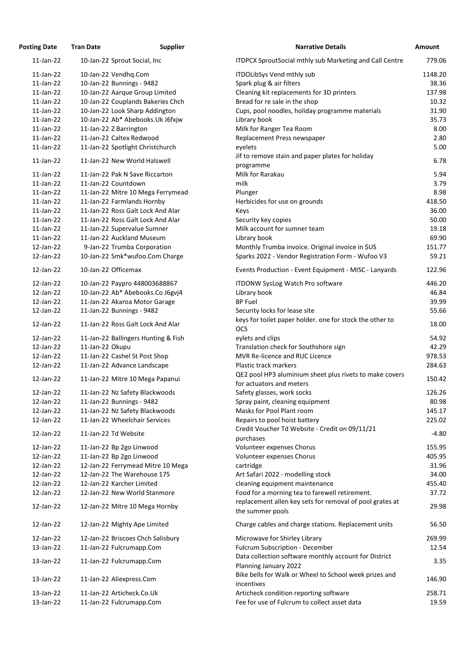| <b>Posting Date</b> | <b>Tran Date</b>              | <b>Supplier</b>                     | <b>Narrative Details</b>                                                                                   | Amount  |
|---------------------|-------------------------------|-------------------------------------|------------------------------------------------------------------------------------------------------------|---------|
| $11$ -Jan-22        | 10-Jan-22 Sprout Social, Inc  |                                     | ITDPCX SproutSocial mthly sub Marketing and Call Centre                                                    | 779.06  |
| $11$ -Jan-22        | 10-Jan-22 Vendhq.Com          |                                     | ITDOLibSys Vend mthly sub                                                                                  | 1148.20 |
| $11$ -Jan-22        | 10-Jan-22 Bunnings - 9482     |                                     | Spark plug & air filters                                                                                   | 38.36   |
| $11$ -Jan-22        |                               | 10-Jan-22 Aarque Group Limited      | Cleaning kit replacements for 3D printers                                                                  | 137.98  |
| $11$ -Jan-22        |                               | 10-Jan-22 Couplands Bakeries Chch   | Bread for re sale in the shop                                                                              | 10.32   |
| $11$ -Jan-22        |                               | 10-Jan-22 Look Sharp Addington      | Cups, pool noodles, holiday programme materials                                                            | 31.90   |
| $11$ -Jan-22        |                               | 10-Jan-22 Ab* Abebooks.Uk J6fxjw    | Library book                                                                                               | 35.73   |
| $11$ -Jan-22        | 11-Jan-22 Z Barrington        |                                     | Milk for Ranger Tea Room                                                                                   | 8.00    |
| $11$ -Jan-22        | 11-Jan-22 Caltex Redwood      |                                     | Replacement Press newspaper                                                                                | 2.80    |
| $11$ -Jan-22        |                               | 11-Jan-22 Spotlight Christchurch    | eyelets                                                                                                    | 5.00    |
| $11$ -Jan-22        | 11-Jan-22 New World Halswell  |                                     | Jif to remove stain and paper plates for holiday<br>programme                                              | 6.78    |
| $11$ -Jan-22        |                               | 11-Jan-22 Pak N Save Riccarton      | Milk for Rarakau                                                                                           | 5.94    |
| $11$ -Jan-22        | 11-Jan-22 Countdown           |                                     | milk                                                                                                       | 3.79    |
| $11$ -Jan-22        |                               | 11-Jan-22 Mitre 10 Mega Ferrymead   | Plunger                                                                                                    | 8.98    |
| $11$ -Jan-22        | 11-Jan-22 Farmlands Hornby    |                                     | Herbicides for use on grounds                                                                              | 418.50  |
| $11$ -Jan-22        |                               | 11-Jan-22 Ross Galt Lock And Alar   | Keys                                                                                                       | 36.00   |
| $11$ -Jan-22        |                               | 11-Jan-22 Ross Galt Lock And Alar   | Security key copies                                                                                        | 50.00   |
| $11$ -Jan-22        | 11-Jan-22 Supervalue Sumner   |                                     | Milk account for sumner team                                                                               | 19.18   |
| $11$ -Jan-22        | 11-Jan-22 Auckland Museum     |                                     | Library book                                                                                               | 69.90   |
| 12-Jan-22           |                               | 9-Jan-22 Trumba Corporation         | Monthly Trumba invoice. Original invoice in \$US                                                           | 151.77  |
| 12-Jan-22           |                               | 10-Jan-22 Smk*wufoo.Com Charge      | Sparks 2022 - Vendor Registration Form - Wufoo V3                                                          | 59.21   |
| 12-Jan-22           | 10-Jan-22 Officemax           |                                     | Events Production - Event Equipment - MISC - Lanyards                                                      | 122.96  |
| 12-Jan-22           |                               | 10-Jan-22 Paypro 448003688867       | <b>ITDONW SysLog Watch Pro software</b>                                                                    | 446.20  |
| 12-Jan-22           |                               | 10-Jan-22 Ab* Abebooks.Co J6gvj4    | Library book                                                                                               | 46.84   |
| 12-Jan-22           |                               | 11-Jan-22 Akaroa Motor Garage       | <b>BP Fuel</b>                                                                                             | 39.99   |
| 12-Jan-22           | 11-Jan-22 Bunnings - 9482     |                                     | Security locks for lease site                                                                              | 55.66   |
|                     |                               |                                     | keys for toilet paper holder. one for stock the other to                                                   |         |
| 12-Jan-22           |                               | 11-Jan-22 Ross Galt Lock And Alar   | <b>OCS</b>                                                                                                 | 18.00   |
| 12-Jan-22           |                               | 11-Jan-22 Ballingers Hunting & Fish | eylets and clips                                                                                           | 54.92   |
| 12-Jan-22           | 11-Jan-22 Okupu               |                                     | Translation check for Southshore sign                                                                      | 42.29   |
| 12-Jan-22           | 11-Jan-22 Cashel St Post Shop |                                     | MVR Re-licence and RUC Licence                                                                             | 978.53  |
| 12-Jan-22           | 11-Jan-22 Advance Landscape   |                                     | Plastic track markers                                                                                      | 284.63  |
| 12-Jan-22           |                               | 11-Jan-22 Mitre 10 Mega Papanui     | QE2 pool HP3 aluminium sheet plus rivets to make covers                                                    | 150.42  |
|                     |                               |                                     | for actuators and meters                                                                                   |         |
| 12-Jan-22           |                               | 11-Jan-22 Nz Safety Blackwoods      | Safety glasses, work socks                                                                                 | 126.26  |
| 12-Jan-22           | 11-Jan-22 Bunnings - 9482     |                                     | Spray paint, cleaning equipment                                                                            | 80.98   |
| 12-Jan-22           |                               | 11-Jan-22 Nz Safety Blackwoods      | Masks for Pool Plant room                                                                                  | 145.17  |
| 12-Jan-22           | 11-Jan-22 Wheelchair Services |                                     | Repairs to pool hoist battery                                                                              | 225.02  |
| 12-Jan-22           | 11-Jan-22 Td Website          |                                     | Credit Voucher Td Website - Credit on 09/11/21                                                             | $-4.80$ |
|                     |                               |                                     | purchases                                                                                                  |         |
| 12-Jan-22           | 11-Jan-22 Bp 2go Linwood      |                                     | Volunteer expenses Chorus                                                                                  | 155.95  |
| 12-Jan-22           | 11-Jan-22 Bp 2go Linwood      |                                     | Volunteer expenses Chorus                                                                                  | 405.95  |
| 12-Jan-22           |                               | 12-Jan-22 Ferrymead Mitre 10 Mega   | cartridge                                                                                                  | 31.96   |
| 12-Jan-22           | 12-Jan-22 The Warehouse 175   |                                     | Art Safari 2022 - modelling stock                                                                          | 34.00   |
| 12-Jan-22           | 12-Jan-22 Karcher Limited     |                                     | cleaning equipment maintenance                                                                             | 455.40  |
| 12-Jan-22           |                               | 12-Jan-22 New World Stanmore        | Food for a morning tea to farewell retirement.<br>replacement allen key sets for removal of pool grates at | 37.72   |
| 12-Jan-22           |                               | 12-Jan-22 Mitre 10 Mega Hornby      | the summer pools                                                                                           | 29.98   |
| 12-Jan-22           | 12-Jan-22 Mighty Ape Limited  |                                     | Charge cables and charge stations. Replacement units                                                       | 56.50   |
| 12-Jan-22           |                               | 12-Jan-22 Briscoes Chch Salisbury   | Microwave for Shirley Library                                                                              | 269.99  |
| 13-Jan-22           | 11-Jan-22 Fulcrumapp.Com      |                                     | Fulcrum Subscription - December                                                                            | 12.54   |
| 13-Jan-22           | 11-Jan-22 Fulcrumapp.Com      |                                     | Data collection software monthly account for District                                                      | 3.35    |
|                     |                               |                                     | Planning January 2022                                                                                      |         |
| 13-Jan-22           | 11-Jan-22 Aliexpress.Com      |                                     | Bike bells for Walk or Wheel to School week prizes and                                                     | 146.90  |
|                     | 11-Jan-22 Articheck.Co.Uk     |                                     | incentives                                                                                                 | 258.71  |
| 13-Jan-22           |                               |                                     | Articheck condition reporting software                                                                     |         |
| 13-Jan-22           | 11-Jan-22 Fulcrumapp.Com      |                                     | Fee for use of Fulcrum to collect asset data                                                               | 19.59   |

| <b>Narrative Details</b>                                               | <b>Amount</b> |
|------------------------------------------------------------------------|---------------|
| <b>ITDPCX SproutSocial mthly sub Marketing and Call Centre</b>         | 779.06        |
| ITDOLibSys Vend mthly sub                                              | 1148.20       |
| Spark plug & air filters                                               | 38.36         |
| Cleaning kit replacements for 3D printers                              | 137.98        |
| Bread for re sale in the shop                                          | 10.32         |
| Cups, pool noodles, holiday programme materials                        | 31.90         |
| Library book                                                           | 35.73         |
| Milk for Ranger Tea Room                                               | 8.00          |
| Replacement Press newspaper                                            | 2.80          |
| eyelets                                                                | 5.00          |
| Jif to remove stain and paper plates for holiday                       |               |
| programme                                                              | 6.78          |
| Milk for Rarakau                                                       | 5.94          |
| milk                                                                   | 3.79          |
| Plunger                                                                | 8.98          |
| Herbicides for use on grounds                                          | 418.50        |
| Keys                                                                   | 36.00         |
| Security key copies                                                    | 50.00         |
| Milk account for sumner team                                           | 19.18         |
| Library book                                                           | 69.90         |
| Monthly Trumba invoice. Original invoice in \$US                       | 151.77        |
| Sparks 2022 - Vendor Registration Form - Wufoo V3                      | 59.21         |
| Events Production - Event Equipment - MISC - Lanyards                  | 122.96        |
| <b>ITDONW SysLog Watch Pro software</b>                                | 446.20        |
| Library book                                                           | 46.84         |
| <b>BP Fuel</b>                                                         | 39.99         |
| Security locks for lease site                                          | 55.66         |
| keys for toilet paper holder. one for stock the other to<br><b>OCS</b> | 18.00         |
| eylets and clips                                                       | 54.92         |
| Translation check for Southshore sign                                  | 42.29         |
| <b>MVR Re-licence and RUC Licence</b>                                  | 978.53        |
| Plastic track markers                                                  | 284.63        |
| QE2 pool HP3 aluminium sheet plus rivets to make covers                |               |
| for actuators and meters                                               | 150.42        |
| Safety glasses, work socks                                             | 126.26        |
| Spray paint, cleaning equipment                                        | 80.98         |
| Masks for Pool Plant room                                              | 145.17        |
| Repairs to pool hoist battery                                          | 225.02        |
| Credit Voucher Td Website - Credit on 09/11/21                         |               |
| purchases                                                              | $-4.80$       |
| Volunteer expenses Chorus                                              | 155.95        |
| Volunteer expenses Chorus                                              | 405.95        |
| cartridge                                                              | 31.96         |
| Art Safari 2022 - modelling stock                                      | 34.00         |
| cleaning equipment maintenance                                         | 455.40        |
| Food for a morning tea to farewell retirement.                         | 37.72         |
| replacement allen key sets for removal of pool grates at               |               |
| the summer pools                                                       | 29.98         |
| Charge cables and charge stations. Replacement units                   | 56.50         |
| Microwave for Shirley Library                                          | 269.99        |
| <b>Fulcrum Subscription - December</b>                                 | 12.54         |
| Data collection software monthly account for District                  |               |
| Planning January 2022                                                  | 3.35          |
| Bike bells for Walk or Wheel to School week prizes and                 | 146.90        |
| incentives                                                             |               |
| Articheck condition reporting software                                 | 258.71        |
| Fee for use of Fulcrum to collect asset data                           | 19.59         |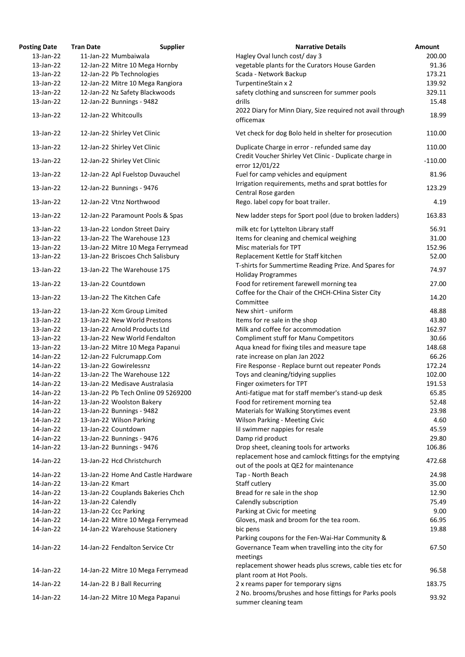| <b>osting Date</b> | <b>Tran Date</b><br><b>Supplier</b> | <b>Narrative Details</b>                                                                                 |
|--------------------|-------------------------------------|----------------------------------------------------------------------------------------------------------|
| 13-Jan-22          | 11-Jan-22 Mumbaiwala                | Hagley Oval lunch cost/ day 3                                                                            |
| 13-Jan-22          | 12-Jan-22 Mitre 10 Mega Hornby      | vegetable plants for the Curators House Garden                                                           |
| 13-Jan-22          | 12-Jan-22 Pb Technologies           | Scada - Network Backup                                                                                   |
| 13-Jan-22          | 12-Jan-22 Mitre 10 Mega Rangiora    | TurpentineStain x 2                                                                                      |
| 13-Jan-22          | 12-Jan-22 Nz Safety Blackwoods      | safety clothing and sunscreen for summer pools                                                           |
| 13-Jan-22          | 12-Jan-22 Bunnings - 9482           | drills<br>2022 Diary for Minn Diary, Size required not avail throug                                      |
| 13-Jan-22          | 12-Jan-22 Whitcoulls                | officemax                                                                                                |
| 13-Jan-22          | 12-Jan-22 Shirley Vet Clinic        | Vet check for dog Bolo held in shelter for prosecution                                                   |
| 13-Jan-22          | 12-Jan-22 Shirley Vet Clinic        | Duplicate Charge in error - refunded same day<br>Credit Voucher Shirley Vet Clinic - Duplicate charge in |
| 13-Jan-22          | 12-Jan-22 Shirley Vet Clinic        | error 12/01/22                                                                                           |
| 13-Jan-22          | 12-Jan-22 Apl Fuelstop Duvauchel    | Fuel for camp vehicles and equipment<br>Irrigation requirements, meths and sprat bottles for             |
| 13-Jan-22          | 12-Jan-22 Bunnings - 9476           | Central Rose garden                                                                                      |
| 13-Jan-22          | 12-Jan-22 Vtnz Northwood            | Rego. label copy for boat trailer.                                                                       |
| 13-Jan-22          | 12-Jan-22 Paramount Pools & Spas    | New ladder steps for Sport pool (due to broken ladders)                                                  |
| 13-Jan-22          | 13-Jan-22 London Street Dairy       | milk etc for Lyttelton Library staff                                                                     |
| 13-Jan-22          | 13-Jan-22 The Warehouse 123         | Items for cleaning and chemical weighing                                                                 |
| 13-Jan-22          | 13-Jan-22 Mitre 10 Mega Ferrymead   | Misc materials for TPT                                                                                   |
| 13-Jan-22          | 13-Jan-22 Briscoes Chch Salisbury   | Replacement Kettle for Staff kitchen                                                                     |
| 13-Jan-22          | 13-Jan-22 The Warehouse 175         | T-shirts for Summertime Reading Prize. And Spares for                                                    |
|                    |                                     | <b>Holiday Programmes</b>                                                                                |
| 13-Jan-22          | 13-Jan-22 Countdown                 | Food for retirement farewell morning tea<br>Coffee for the Chair of the CHCH-CHina Sister City           |
| 13-Jan-22          | 13-Jan-22 The Kitchen Cafe          | Committee                                                                                                |
| 13-Jan-22          | 13-Jan-22 Xcm Group Limited         | New shirt - uniform                                                                                      |
| 13-Jan-22          | 13-Jan-22 New World Prestons        | Items for re sale in the shop                                                                            |
| 13-Jan-22          | 13-Jan-22 Arnold Products Ltd       | Milk and coffee for accommodation                                                                        |
| 13-Jan-22          | 13-Jan-22 New World Fendalton       | <b>Compliment stuff for Manu Competitors</b>                                                             |
| 13-Jan-22          | 13-Jan-22 Mitre 10 Mega Papanui     | Aqua knead for fixing tiles and measure tape                                                             |
| 14-Jan-22          | 12-Jan-22 Fulcrumapp.Com            | rate increase on plan Jan 2022                                                                           |
| 14-Jan-22          | 13-Jan-22 Gowirelessnz              | Fire Response - Replace burnt out repeater Ponds                                                         |
| 14-Jan-22          | 13-Jan-22 The Warehouse 122         | Toys and cleaning/tidying supplies                                                                       |
| 14-Jan-22          | 13-Jan-22 Medisave Australasia      | Finger oximeters for TPT                                                                                 |
| 14-Jan-22          | 13-Jan-22 Pb Tech Online 09 5269200 | Anti-fatigue mat for staff member's stand-up desk                                                        |
| 14-Jan-22          | 13-Jan-22 Woolston Bakery           | Food for retirement morning tea                                                                          |
| 14-Jan-22          | 13-Jan-22 Bunnings - 9482           | Materials for Walking Storytimes event                                                                   |
| 14-Jan-22          | 13-Jan-22 Wilson Parking            | <b>Wilson Parking - Meeting Civic</b>                                                                    |
| 14-Jan-22          | 13-Jan-22 Countdown                 | lil swimmer nappies for resale                                                                           |
| 14-Jan-22          | 13-Jan-22 Bunnings - 9476           | Damp rid product                                                                                         |
| 14-Jan-22          | 13-Jan-22 Bunnings - 9476           | Drop sheet, cleaning tools for artworks                                                                  |
| 14-Jan-22          | 13-Jan-22 Hcd Christchurch          | replacement hose and camlock fittings for the emptying                                                   |
|                    |                                     | out of the pools at QE2 for maintenance                                                                  |
| 14-Jan-22          | 13-Jan-22 Home And Castle Hardware  | Tap - North Beach                                                                                        |
| 14-Jan-22          | 13-Jan-22 Kmart                     | Staff cutlery                                                                                            |
| 14-Jan-22          | 13-Jan-22 Couplands Bakeries Chch   | Bread for re sale in the shop                                                                            |
| 14-Jan-22          | 13-Jan-22 Calendly                  | Calendly subscription                                                                                    |
| 14-Jan-22          | 13-Jan-22 Ccc Parking               | Parking at Civic for meeting                                                                             |
| 14-Jan-22          | 14-Jan-22 Mitre 10 Mega Ferrymead   | Gloves, mask and broom for the tea room.                                                                 |
| 14-Jan-22          | 14-Jan-22 Warehouse Stationery      | bic pens<br>Parking coupons for the Fen-Wai-Har Community &                                              |
| 14-Jan-22          | 14-Jan-22 Fendalton Service Ctr     | Governance Team when travelling into the city for<br>meetings                                            |
| 14-Jan-22          | 14-Jan-22 Mitre 10 Mega Ferrymead   | replacement shower heads plus screws, cable ties etc for<br>plant room at Hot Pools.                     |
| 14-Jan-22          | 14-Jan-22 B J Ball Recurring        | 2 x reams paper for temporary signs<br>2 No. brooms/brushes and hose fittings for Parks pools            |
| 14-Jan-22          | 14-Jan-22 Mitre 10 Mega Papanui     | summer cleaning team                                                                                     |
|                    |                                     |                                                                                                          |

| <b>Posting Date</b> | <b>Tran Date</b>   | <b>Supplier</b>                     | <b>Narrative Details</b>                                                                       | <b>Amount</b> |
|---------------------|--------------------|-------------------------------------|------------------------------------------------------------------------------------------------|---------------|
| $13$ -Jan-22        |                    | 11-Jan-22 Mumbaiwala                | Hagley Oval lunch cost/ day 3                                                                  | 200.00        |
| 13-Jan-22           |                    | 12-Jan-22 Mitre 10 Mega Hornby      | vegetable plants for the Curators House Garden                                                 | 91.36         |
| 13-Jan-22           |                    | 12-Jan-22 Pb Technologies           | Scada - Network Backup                                                                         | 173.21        |
| 13-Jan-22           |                    | 12-Jan-22 Mitre 10 Mega Rangiora    | TurpentineStain x 2                                                                            | 139.92        |
| 13-Jan-22           |                    | 12-Jan-22 Nz Safety Blackwoods      | safety clothing and sunscreen for summer pools                                                 | 329.11        |
| 13-Jan-22           |                    | 12-Jan-22 Bunnings - 9482           | drills                                                                                         | 15.48         |
| 13-Jan-22           |                    | 12-Jan-22 Whitcoulls                | 2022 Diary for Minn Diary, Size required not avail through<br>officemax                        | 18.99         |
| 13-Jan-22           |                    | 12-Jan-22 Shirley Vet Clinic        | Vet check for dog Bolo held in shelter for prosecution                                         | 110.00        |
| 13-Jan-22           |                    | 12-Jan-22 Shirley Vet Clinic        | Duplicate Charge in error - refunded same day                                                  | 110.00        |
| 13-Jan-22           |                    | 12-Jan-22 Shirley Vet Clinic        | Credit Voucher Shirley Vet Clinic - Duplicate charge in<br>error 12/01/22                      | $-110.00$     |
| 13-Jan-22           |                    | 12-Jan-22 Apl Fuelstop Duvauchel    | Fuel for camp vehicles and equipment                                                           | 81.96         |
| 13-Jan-22           |                    | 12-Jan-22 Bunnings - 9476           | Irrigation requirements, meths and sprat bottles for<br>Central Rose garden                    | 123.29        |
| 13-Jan-22           |                    | 12-Jan-22 Vtnz Northwood            | Rego. label copy for boat trailer.                                                             | 4.19          |
| 13-Jan-22           |                    | 12-Jan-22 Paramount Pools & Spas    | New ladder steps for Sport pool (due to broken ladders)                                        | 163.83        |
| 13-Jan-22           |                    | 13-Jan-22 London Street Dairy       | milk etc for Lyttelton Library staff                                                           | 56.91         |
| 13-Jan-22           |                    | 13-Jan-22 The Warehouse 123         | Items for cleaning and chemical weighing                                                       | 31.00         |
| 13-Jan-22           |                    | 13-Jan-22 Mitre 10 Mega Ferrymead   | Misc materials for TPT                                                                         | 152.96        |
| 13-Jan-22           |                    | 13-Jan-22 Briscoes Chch Salisbury   | Replacement Kettle for Staff kitchen<br>T-shirts for Summertime Reading Prize. And Spares for  | 52.00         |
| 13-Jan-22           |                    | 13-Jan-22 The Warehouse 175         | <b>Holiday Programmes</b>                                                                      | 74.97         |
| 13-Jan-22           |                    | 13-Jan-22 Countdown                 | Food for retirement farewell morning tea<br>Coffee for the Chair of the CHCH-CHina Sister City | 27.00         |
| 13-Jan-22           |                    | 13-Jan-22 The Kitchen Cafe          | Committee                                                                                      | 14.20         |
| 13-Jan-22           |                    | 13-Jan-22 Xcm Group Limited         | New shirt - uniform                                                                            | 48.88         |
| 13-Jan-22           |                    | 13-Jan-22 New World Prestons        | Items for re sale in the shop                                                                  | 43.80         |
| 13-Jan-22           |                    | 13-Jan-22 Arnold Products Ltd       | Milk and coffee for accommodation                                                              | 162.97        |
| $13$ -Jan-22        |                    | 13-Jan-22 New World Fendalton       | <b>Compliment stuff for Manu Competitors</b>                                                   | 30.66         |
| 13-Jan-22           |                    | 13-Jan-22 Mitre 10 Mega Papanui     | Aqua knead for fixing tiles and measure tape                                                   | 148.68        |
| 14-Jan-22           |                    | 12-Jan-22 Fulcrumapp.Com            | rate increase on plan Jan 2022                                                                 | 66.26         |
| 14-Jan-22           |                    | 13-Jan-22 Gowirelessnz              | Fire Response - Replace burnt out repeater Ponds                                               | 172.24        |
| 14-Jan-22           |                    | 13-Jan-22 The Warehouse 122         | Toys and cleaning/tidying supplies                                                             | 102.00        |
| 14-Jan-22           |                    | 13-Jan-22 Medisave Australasia      | Finger oximeters for TPT                                                                       | 191.53        |
| 14-Jan-22           |                    | 13-Jan-22 Pb Tech Online 09 5269200 | Anti-fatigue mat for staff member's stand-up desk                                              | 65.85         |
| 14-Jan-22           |                    | 13-Jan-22 Woolston Bakery           | Food for retirement morning tea                                                                | 52.48         |
| 14-Jan-22           |                    | 13-Jan-22 Bunnings - 9482           | Materials for Walking Storytimes event                                                         | 23.98         |
| 14-Jan-22           |                    | 13-Jan-22 Wilson Parking            | <b>Wilson Parking - Meeting Civic</b>                                                          | 4.60          |
| 14-Jan-22           |                    | 13-Jan-22 Countdown                 | lil swimmer nappies for resale                                                                 | 45.59         |
| 14-Jan-22           |                    | 13-Jan-22 Bunnings - 9476           | Damp rid product                                                                               | 29.80         |
| 14-Jan-22           |                    | 13-Jan-22 Bunnings - 9476           | Drop sheet, cleaning tools for artworks                                                        | 106.86        |
| 14-Jan-22           |                    | 13-Jan-22 Hcd Christchurch          | replacement hose and camlock fittings for the emptying                                         | 472.68        |
| 14-Jan-22           |                    | 13-Jan-22 Home And Castle Hardware  | out of the pools at QE2 for maintenance                                                        | 24.98         |
|                     |                    |                                     | Tap - North Beach                                                                              |               |
| 14-Jan-22           | 13-Jan-22 Kmart    |                                     | Staff cutlery                                                                                  | 35.00         |
| 14-Jan-22           |                    | 13-Jan-22 Couplands Bakeries Chch   | Bread for re sale in the shop                                                                  | 12.90         |
| 14-Jan-22           | 13-Jan-22 Calendly |                                     | Calendly subscription                                                                          | 75.49         |
| 14-Jan-22           |                    | 13-Jan-22 Ccc Parking               | Parking at Civic for meeting                                                                   | 9.00          |
| 14-Jan-22           |                    | 14-Jan-22 Mitre 10 Mega Ferrymead   | Gloves, mask and broom for the tea room.                                                       | 66.95         |
| 14-Jan-22           |                    | 14-Jan-22 Warehouse Stationery      | bic pens<br>Parking coupons for the Fen-Wai-Har Community &                                    | 19.88         |
| 14-Jan-22           |                    | 14-Jan-22 Fendalton Service Ctr     | Governance Team when travelling into the city for<br>meetings                                  | 67.50         |
| 14-Jan-22           |                    | 14-Jan-22 Mitre 10 Mega Ferrymead   | replacement shower heads plus screws, cable ties etc for<br>plant room at Hot Pools.           | 96.58         |
| 14-Jan-22           |                    | 14-Jan-22 B J Ball Recurring        | 2 x reams paper for temporary signs                                                            | 183.75        |
| 14-Jan-22           |                    | 14-Jan-22 Mitre 10 Mega Papanui     | 2 No. brooms/brushes and hose fittings for Parks pools<br>summer cleaning team                 | 93.92         |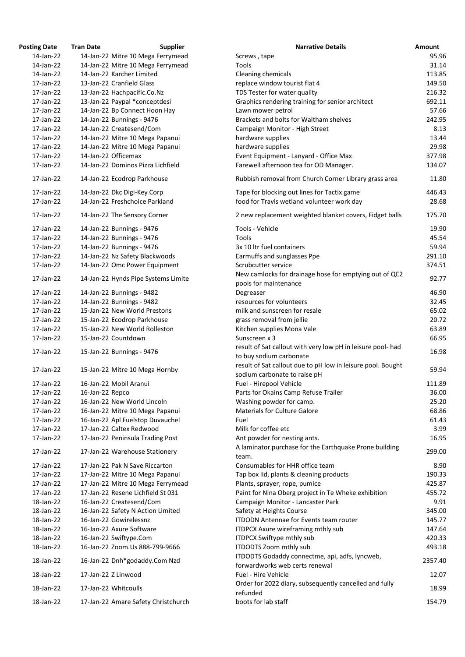| <b>Posting Date</b>    | <b>Tran Date</b>     | <b>Supplier</b>                                                 | <b>Narrative Details</b>                                                                    | <b>Amount</b> |
|------------------------|----------------------|-----------------------------------------------------------------|---------------------------------------------------------------------------------------------|---------------|
| 14-Jan-22              |                      | 14-Jan-22 Mitre 10 Mega Ferrymead                               | Screws, tape                                                                                | 95.           |
| 14-Jan-22              |                      | 14-Jan-22 Mitre 10 Mega Ferrymead                               | Tools                                                                                       | 31.           |
| 14-Jan-22              |                      | 14-Jan-22 Karcher Limited                                       | Cleaning chemicals                                                                          | 113.          |
| 17-Jan-22              |                      | 13-Jan-22 Cranfield Glass                                       | replace window tourist flat 4                                                               | 149.          |
| 17-Jan-22              |                      | 13-Jan-22 Hachpacific.Co.Nz                                     | TDS Tester for water quality                                                                | 216.          |
| 17-Jan-22              |                      | 13-Jan-22 Paypal *conceptdesi                                   | Graphics rendering training for senior architect                                            | 692.          |
| 17-Jan-22              |                      | 14-Jan-22 Bp Connect Hoon Hay                                   | Lawn mower petrol                                                                           | 57.           |
| 17-Jan-22              |                      | 14-Jan-22 Bunnings - 9476                                       | Brackets and bolts for Waltham shelves                                                      | 242.          |
| 17-Jan-22              |                      | 14-Jan-22 Createsend/Com                                        | Campaign Monitor - High Street                                                              | 8.            |
| 17-Jan-22              |                      | 14-Jan-22 Mitre 10 Mega Papanui                                 | hardware supplies                                                                           | 13.           |
| 17-Jan-22              |                      | 14-Jan-22 Mitre 10 Mega Papanui                                 | hardware supplies                                                                           | 29.           |
| 17-Jan-22              | 14-Jan-22 Officemax  |                                                                 | Event Equipment - Lanyard - Office Max                                                      | 377.          |
| 17-Jan-22              |                      | 14-Jan-22 Dominos Pizza Lichfield                               | Farewell afternoon tea for OD Manager.                                                      | 134.          |
| 17-Jan-22              |                      | 14-Jan-22 Ecodrop Parkhouse                                     | Rubbish removal from Church Corner Library grass area                                       | 11.           |
| 17-Jan-22              |                      |                                                                 |                                                                                             | 446.          |
|                        |                      | 14-Jan-22 Dkc Digi-Key Corp<br>14-Jan-22 Freshchoice Parkland   | Tape for blocking out lines for Tactix game                                                 |               |
| 17-Jan-22              |                      |                                                                 | food for Travis wetland volunteer work day                                                  | 28.           |
| 17-Jan-22              |                      | 14-Jan-22 The Sensory Corner                                    | 2 new replacement weighted blanket covers, Fidget balls                                     | 175.          |
| 17-Jan-22              |                      | 14-Jan-22 Bunnings - 9476                                       | Tools - Vehicle                                                                             | 19.           |
| 17-Jan-22              |                      | 14-Jan-22 Bunnings - 9476                                       | Tools                                                                                       | 45.           |
| 17-Jan-22              |                      | 14-Jan-22 Bunnings - 9476                                       | 3x 10 ltr fuel containers                                                                   | 59.           |
| 17-Jan-22              |                      | 14-Jan-22 Nz Safety Blackwoods                                  | Earmuffs and sunglasses Ppe                                                                 | 291.          |
| 17-Jan-22              |                      | 14-Jan-22 Omc Power Equipment                                   | Scrubcutter service                                                                         | 374.          |
| 17-Jan-22              |                      | 14-Jan-22 Hynds Pipe Systems Limite                             | New camlocks for drainage hose for emptying out of QE2<br>pools for maintenance             | 92.           |
| 17-Jan-22              |                      | 14-Jan-22 Bunnings - 9482                                       | Degreaser                                                                                   | 46.           |
| 17-Jan-22              |                      | 14-Jan-22 Bunnings - 9482                                       | resources for volunteers                                                                    | 32.           |
| 17-Jan-22              |                      | 15-Jan-22 New World Prestons                                    | milk and sunscreen for resale                                                               | 65.           |
| 17-Jan-22              |                      | 15-Jan-22 Ecodrop Parkhouse                                     | grass removal from jellie                                                                   | 20.           |
| 17-Jan-22              |                      | 15-Jan-22 New World Rolleston                                   |                                                                                             | 63.           |
|                        |                      |                                                                 | Kitchen supplies Mona Vale<br>Sunscreen x 3                                                 |               |
| 17-Jan-22              | 15-Jan-22 Countdown  |                                                                 |                                                                                             | 66.           |
| 17-Jan-22              |                      | 15-Jan-22 Bunnings - 9476                                       | result of Sat callout with very low pH in leisure pool- had                                 | 16.           |
|                        |                      |                                                                 | to buy sodium carbonate                                                                     |               |
| 17-Jan-22              |                      | 15-Jan-22 Mitre 10 Mega Hornby                                  | result of Sat callout due to pH low in leisure pool. Bought<br>sodium carbonate to raise pH | 59.           |
| 17-Jan-22              |                      | 16-Jan-22 Mobil Aranui                                          | Fuel - Hirepool Vehicle                                                                     | 111.          |
| 17-Jan-22              | 16-Jan-22 Repco      |                                                                 | Parts for Okains Camp Refuse Trailer                                                        | 36.           |
| 17-Jan-22              |                      | 16-Jan-22 New World Lincoln                                     | Washing powder for camp.                                                                    | 25.           |
| 17-Jan-22              |                      | 16-Jan-22 Mitre 10 Mega Papanui                                 | <b>Materials for Culture Galore</b>                                                         | 68.           |
| 17-Jan-22              |                      | 16-Jan-22 Apl Fuelstop Duvauchel                                | Fuel                                                                                        | 61.           |
| 17-Jan-22              |                      | 17-Jan-22 Caltex Redwood                                        | Milk for coffee etc                                                                         | $\mathbf{3}$  |
| 17-Jan-22              |                      | 17-Jan-22 Peninsula Trading Post                                | Ant powder for nesting ants.                                                                | 16.           |
| 17-Jan-22              |                      | 17-Jan-22 Warehouse Stationery                                  | A laminator purchase for the Earthquake Prone building<br>team.                             | 299.          |
| 17-Jan-22              |                      | 17-Jan-22 Pak N Save Riccarton                                  | Consumables for HHR office team                                                             | 8.            |
| 17-Jan-22              |                      | 17-Jan-22 Mitre 10 Mega Papanui                                 | Tap box lid, plants & cleaning products                                                     | 190.          |
| 17-Jan-22              |                      | 17-Jan-22 Mitre 10 Mega Ferrymead                               | Plants, sprayer, rope, pumice                                                               | 425.          |
| 17-Jan-22              |                      | 17-Jan-22 Resene Lichfield St 031                               | Paint for Nina Oberg project in Te Wheke exhibition                                         | 455.          |
|                        |                      |                                                                 |                                                                                             | 9.            |
| 18-Jan-22              |                      | 16-Jan-22 Createsend/Com                                        | Campaign Monitor - Lancaster Park                                                           |               |
| 18-Jan-22              |                      | 16-Jan-22 Safety N Action Limited                               | Safety at Heights Course                                                                    | 345.          |
| 18-Jan-22              |                      | 16-Jan-22 Gowirelessnz                                          | <b>ITDODN Antennae for Events team router</b>                                               | 145.          |
| 18-Jan-22              |                      | 16-Jan-22 Axure Software                                        | <b>ITDPCX Axure wireframing mthly sub</b>                                                   | 147.          |
| 18-Jan-22              |                      | 16-Jan-22 Swiftype.Com                                          | <b>ITDPCX Swiftype mthly sub</b>                                                            | 420.          |
| 18-Jan-22<br>18-Jan-22 |                      | 16-Jan-22 Zoom.Us 888-799-9666<br>16-Jan-22 Dnh*godaddy.Com Nzd | ITDODTS Zoom mthly sub<br>ITDODTS Godaddy connectme, api, adfs, lyncweb,                    | 493.<br>2357. |
| 18-Jan-22              | 17-Jan-22 Z Linwood  |                                                                 | forwardworks web certs renewal<br>Fuel - Hire Vehicle                                       | 12.           |
|                        |                      |                                                                 | Order for 2022 diary, subsequently cancelled and fully                                      |               |
| 18-Jan-22              | 17-Jan-22 Whitcoulls |                                                                 | refunded                                                                                    | 18.           |
| 18-Jan-22              |                      | 17-Jan-22 Amare Safety Christchurch                             | boots for lab staff                                                                         | 154.          |

| ing Date  | Tran Date       | <b>Supplier</b>                     | <b>Narrative Details</b>                                                               | <b>Amount</b> |
|-----------|-----------------|-------------------------------------|----------------------------------------------------------------------------------------|---------------|
| 14-Jan-22 |                 | 14-Jan-22 Mitre 10 Mega Ferrymead   | Screws, tape                                                                           | 95.96         |
| 14-Jan-22 |                 | 14-Jan-22 Mitre 10 Mega Ferrymead   | Tools                                                                                  | 31.14         |
| 14-Jan-22 |                 | 14-Jan-22 Karcher Limited           | Cleaning chemicals                                                                     | 113.85        |
| 17-Jan-22 |                 | 13-Jan-22 Cranfield Glass           | replace window tourist flat 4                                                          | 149.50        |
| 17-Jan-22 |                 | 13-Jan-22 Hachpacific.Co.Nz         | TDS Tester for water quality                                                           | 216.32        |
| 17-Jan-22 |                 | 13-Jan-22 Paypal *conceptdesi       | Graphics rendering training for senior architect                                       | 692.11        |
| 17-Jan-22 |                 | 14-Jan-22 Bp Connect Hoon Hay       | Lawn mower petrol                                                                      | 57.66         |
| 17-Jan-22 |                 | 14-Jan-22 Bunnings - 9476           | Brackets and bolts for Waltham shelves                                                 | 242.95        |
| 17-Jan-22 |                 | 14-Jan-22 Createsend/Com            | Campaign Monitor - High Street                                                         | 8.13          |
| 17-Jan-22 |                 | 14-Jan-22 Mitre 10 Mega Papanui     | hardware supplies                                                                      | 13.44         |
| 17-Jan-22 |                 | 14-Jan-22 Mitre 10 Mega Papanui     | hardware supplies                                                                      | 29.98         |
| 17-Jan-22 |                 | 14-Jan-22 Officemax                 | Event Equipment - Lanyard - Office Max                                                 | 377.98        |
| 17-Jan-22 |                 | 14-Jan-22 Dominos Pizza Lichfield   | Farewell afternoon tea for OD Manager.                                                 | 134.07        |
| 17-Jan-22 |                 | 14-Jan-22 Ecodrop Parkhouse         | Rubbish removal from Church Corner Library grass area                                  | 11.80         |
| 17-Jan-22 |                 | 14-Jan-22 Dkc Digi-Key Corp         | Tape for blocking out lines for Tactix game                                            | 446.43        |
| 17-Jan-22 |                 | 14-Jan-22 Freshchoice Parkland      | food for Travis wetland volunteer work day                                             | 28.68         |
| 17-Jan-22 |                 | 14-Jan-22 The Sensory Corner        | 2 new replacement weighted blanket covers, Fidget balls                                | 175.70        |
| 17-Jan-22 |                 | 14-Jan-22 Bunnings - 9476           | Tools - Vehicle                                                                        | 19.90         |
| 17-Jan-22 |                 | 14-Jan-22 Bunnings - 9476           | Tools                                                                                  | 45.54         |
| 17-Jan-22 |                 | 14-Jan-22 Bunnings - 9476           | 3x 10 Itr fuel containers                                                              | 59.94         |
| 17-Jan-22 |                 | 14-Jan-22 Nz Safety Blackwoods      | Earmuffs and sunglasses Ppe                                                            | 291.10        |
| 17-Jan-22 |                 | 14-Jan-22 Omc Power Equipment       | Scrubcutter service                                                                    | 374.51        |
| 17-Jan-22 |                 | 14-Jan-22 Hynds Pipe Systems Limite | New camlocks for drainage hose for emptying out of QE2<br>pools for maintenance        | 92.77         |
| 17-Jan-22 |                 | 14-Jan-22 Bunnings - 9482           | Degreaser                                                                              | 46.90         |
| 17-Jan-22 |                 | 14-Jan-22 Bunnings - 9482           | resources for volunteers                                                               | 32.45         |
| 17-Jan-22 |                 | 15-Jan-22 New World Prestons        | milk and sunscreen for resale                                                          | 65.02         |
| 17-Jan-22 |                 | 15-Jan-22 Ecodrop Parkhouse         | grass removal from jellie                                                              | 20.72         |
| 17-Jan-22 |                 | 15-Jan-22 New World Rolleston       | Kitchen supplies Mona Vale                                                             | 63.89         |
| 17-Jan-22 |                 | 15-Jan-22 Countdown                 | Sunscreen x 3                                                                          | 66.95         |
| 17-Jan-22 |                 | 15-Jan-22 Bunnings - 9476           | result of Sat callout with very low pH in leisure pool- had<br>to buy sodium carbonate | 16.98         |
|           |                 |                                     | result of Sat callout due to pH low in leisure pool. Bought                            |               |
| 17-Jan-22 |                 | 15-Jan-22 Mitre 10 Mega Hornby      | sodium carbonate to raise pH                                                           | 59.94         |
| 17-Jan-22 |                 | 16-Jan-22 Mobil Aranui              | Fuel - Hirepool Vehicle                                                                | 111.89        |
| 17-Jan-22 | 16-Jan-22 Repco |                                     | Parts for Okains Camp Refuse Trailer                                                   | 36.00         |
| 17-Jan-22 |                 | 16-Jan-22 New World Lincoln         | Washing powder for camp.                                                               | 25.20         |
| 17-Jan-22 |                 | 16-Jan-22 Mitre 10 Mega Papanui     | <b>Materials for Culture Galore</b>                                                    | 68.86         |
| 17-Jan-22 |                 | 16-Jan-22 Apl Fuelstop Duvauchel    | Fuel                                                                                   | 61.43         |
| 17-Jan-22 |                 | 17-Jan-22 Caltex Redwood            | Milk for coffee etc                                                                    | 3.99          |
| 17-Jan-22 |                 | 17-Jan-22 Peninsula Trading Post    | Ant powder for nesting ants.                                                           | 16.95         |
| 17-Jan-22 |                 | 17-Jan-22 Warehouse Stationery      | A laminator purchase for the Earthquake Prone building<br>team.                        | 299.00        |
| 17-Jan-22 |                 | 17-Jan-22 Pak N Save Riccarton      | Consumables for HHR office team                                                        | 8.90          |
| 17-Jan-22 |                 | 17-Jan-22 Mitre 10 Mega Papanui     | Tap box lid, plants & cleaning products                                                | 190.33        |
| 17-Jan-22 |                 | 17-Jan-22 Mitre 10 Mega Ferrymead   | Plants, sprayer, rope, pumice                                                          | 425.87        |
| 17-Jan-22 |                 | 17-Jan-22 Resene Lichfield St 031   | Paint for Nina Oberg project in Te Wheke exhibition                                    | 455.72        |
| 18-Jan-22 |                 | 16-Jan-22 Createsend/Com            | Campaign Monitor - Lancaster Park                                                      | 9.91          |
| 18-Jan-22 |                 | 16-Jan-22 Safety N Action Limited   | Safety at Heights Course                                                               | 345.00        |
| 18-Jan-22 |                 | 16-Jan-22 Gowirelessnz              | <b>ITDODN</b> Antennae for Events team router                                          | 145.77        |
| 18-Jan-22 |                 | 16-Jan-22 Axure Software            | <b>ITDPCX Axure wireframing mthly sub</b>                                              | 147.64        |
| 18-Jan-22 |                 | 16-Jan-22 Swiftype.Com              | <b>ITDPCX Swiftype mthly sub</b>                                                       | 420.33        |
| 18-Jan-22 |                 | 16-Jan-22 Zoom.Us 888-799-9666      | ITDODTS Zoom mthly sub                                                                 | 493.18        |
| 18-Jan-22 |                 | 16-Jan-22 Dnh*godaddy.Com Nzd       | ITDODTS Godaddy connectme, api, adfs, lyncweb,<br>forwardworks web certs renewal       | 2357.40       |
| 18-Jan-22 |                 | 17-Jan-22 Z Linwood                 | Fuel - Hire Vehicle                                                                    | 12.07         |
| 18-Jan-22 |                 | 17-Jan-22 Whitcoulls                | Order for 2022 diary, subsequently cancelled and fully<br>refunded                     | 18.99         |
| 18-Jan-22 |                 | 17-Jan-22 Amare Safety Christchurch | boots for lab staff                                                                    | 154.79        |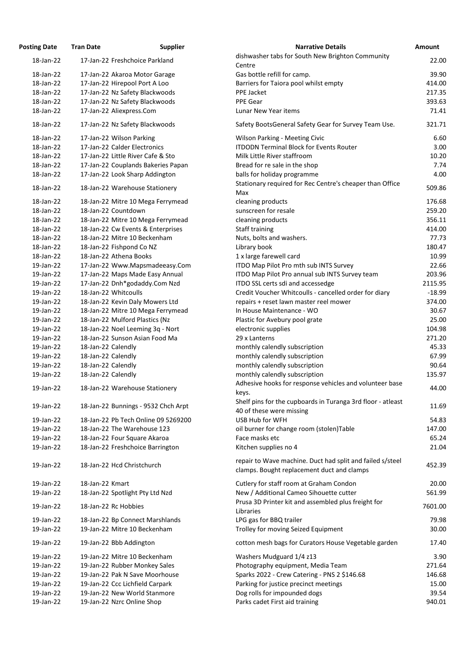| osting Date | <b>Tran Date</b>                   | <b>Supplier</b>                     | <b>Narrative Details</b>                                                                            |
|-------------|------------------------------------|-------------------------------------|-----------------------------------------------------------------------------------------------------|
| 18-Jan-22   | 17-Jan-22 Freshchoice Parkland     |                                     | dishwasher tabs for South New Brighton Community                                                    |
|             |                                    |                                     | Centre                                                                                              |
| 18-Jan-22   | 17-Jan-22 Akaroa Motor Garage      |                                     | Gas bottle refill for camp.                                                                         |
| 18-Jan-22   | 17-Jan-22 Hirepool Port A Loo      |                                     | Barriers for Taiora pool whilst empty                                                               |
| 18-Jan-22   | 17-Jan-22 Nz Safety Blackwoods     |                                     | PPE Jacket                                                                                          |
| 18-Jan-22   | 17-Jan-22 Nz Safety Blackwoods     |                                     | PPE Gear                                                                                            |
| 18-Jan-22   | 17-Jan-22 Aliexpress.Com           |                                     | Lunar New Year items                                                                                |
| 18-Jan-22   | 17-Jan-22 Nz Safety Blackwoods     |                                     | Safety BootsGeneral Safety Gear for Survey Team Us                                                  |
| 18-Jan-22   | 17-Jan-22 Wilson Parking           |                                     | <b>Wilson Parking - Meeting Civic</b>                                                               |
| 18-Jan-22   | 17-Jan-22 Calder Electronics       |                                     | <b>ITDODN Terminal Block for Events Router</b>                                                      |
| 18-Jan-22   | 17-Jan-22 Little River Cafe & Sto  |                                     | Milk Little River staffroom                                                                         |
| 18-Jan-22   | 17-Jan-22 Couplands Bakeries Papan |                                     | Bread for re sale in the shop                                                                       |
| 18-Jan-22   | 17-Jan-22 Look Sharp Addington     |                                     | balls for holiday programme                                                                         |
| 18-Jan-22   | 18-Jan-22 Warehouse Stationery     |                                     | Stationary required for Rec Centre's cheaper than Of                                                |
|             |                                    |                                     | Max                                                                                                 |
| 18-Jan-22   | 18-Jan-22 Mitre 10 Mega Ferrymead  |                                     | cleaning products                                                                                   |
| 18-Jan-22   | 18-Jan-22 Countdown                |                                     | sunscreen for resale                                                                                |
| 18-Jan-22   | 18-Jan-22 Mitre 10 Mega Ferrymead  |                                     | cleaning products                                                                                   |
| 18-Jan-22   | 18-Jan-22 Cw Events & Enterprises  |                                     | Staff training                                                                                      |
| 18-Jan-22   | 18-Jan-22 Mitre 10 Beckenham       |                                     | Nuts, bolts and washers.                                                                            |
| 18-Jan-22   | 18-Jan-22 Fishpond Co NZ           |                                     | Library book                                                                                        |
| 18-Jan-22   | 18-Jan-22 Athena Books             |                                     | 1 x large farewell card                                                                             |
| 19-Jan-22   |                                    | 17-Jan-22 Www.Mapsmadeeasy.Com      | ITDO Map Pilot Pro mth sub INTS Survey                                                              |
| 19-Jan-22   | 17-Jan-22 Maps Made Easy Annual    |                                     | ITDO Map Pilot Pro annual sub INTS Survey team                                                      |
| 19-Jan-22   | 17-Jan-22 Dnh*godaddy.Com Nzd      |                                     | ITDO SSL certs sdi and accessedge                                                                   |
| 19-Jan-22   | 18-Jan-22 Whitcoulls               |                                     | Credit Voucher Whitcoulls - cancelled order for diary                                               |
| 19-Jan-22   | 18-Jan-22 Kevin Daly Mowers Ltd    |                                     | repairs + reset lawn master reel mower                                                              |
| 19-Jan-22   | 18-Jan-22 Mitre 10 Mega Ferrymead  |                                     | In House Maintenance - WO                                                                           |
| 19-Jan-22   | 18-Jan-22 Mulford Plastics (Nz     |                                     | Plastic for Avebury pool grate                                                                      |
| 19-Jan-22   | 18-Jan-22 Noel Leeming 3q - Nort   |                                     | electronic supplies                                                                                 |
| 19-Jan-22   | 18-Jan-22 Sunson Asian Food Ma     |                                     | 29 x Lanterns                                                                                       |
| 19-Jan-22   | 18-Jan-22 Calendly                 |                                     | monthly calendly subscription                                                                       |
| 19-Jan-22   | 18-Jan-22 Calendly                 |                                     | monthly calendly subscription                                                                       |
| 19-Jan-22   | 18-Jan-22 Calendly                 |                                     | monthly calendly subscription                                                                       |
| 19-Jan-22   | 18-Jan-22 Calendly                 |                                     | monthly calendly subscription                                                                       |
| 19-Jan-22   | 18-Jan-22 Warehouse Stationery     |                                     | Adhesive hooks for response vehicles and volunteer I                                                |
| 19-Jan-22   |                                    | 18-Jan-22 Bunnings - 9532 Chch Arpt | keys.<br>Shelf pins for the cupboards in Turanga 3rd floor - atl<br>40 of these were missing        |
| 19-Jan-22   |                                    | 18-Jan-22 Pb Tech Online 09 5269200 | USB Hub for WFH                                                                                     |
| 19-Jan-22   | 18-Jan-22 The Warehouse 123        |                                     | oil burner for change room (stolen)Table                                                            |
| 19-Jan-22   | 18-Jan-22 Four Square Akaroa       |                                     | Face masks etc                                                                                      |
| 19-Jan-22   | 18-Jan-22 Freshchoice Barrington   |                                     | Kitchen supplies no 4                                                                               |
| 19-Jan-22   | 18-Jan-22 Hcd Christchurch         |                                     | repair to Wave machine. Duct had split and failed s/s<br>clamps. Bought replacement duct and clamps |
| 19-Jan-22   | 18-Jan-22 Kmart                    |                                     | Cutlery for staff room at Graham Condon                                                             |
| 19-Jan-22   | 18-Jan-22 Spotlight Pty Ltd Nzd    |                                     | New / Additional Cameo Sihouette cutter                                                             |
|             |                                    |                                     | Prusa 3D Printer kit and assembled plus freight for                                                 |
| 19-Jan-22   | 18-Jan-22 Rc Hobbies               |                                     | Libraries                                                                                           |
| 19-Jan-22   | 18-Jan-22 Bp Connect Marshlands    |                                     | LPG gas for BBQ trailer                                                                             |
| 19-Jan-22   | 19-Jan-22 Mitre 10 Beckenham       |                                     | Trolley for moving Seized Equipment                                                                 |
| 19-Jan-22   | 19-Jan-22 Bbb Addington            |                                     | cotton mesh bags for Curators House Vegetable gard                                                  |
| 19-Jan-22   | 19-Jan-22 Mitre 10 Beckenham       |                                     | Washers Mudguard 1/4 z13                                                                            |
| 19-Jan-22   | 19-Jan-22 Rubber Monkey Sales      |                                     | Photography equipment, Media Team                                                                   |
| 19-Jan-22   | 19-Jan-22 Pak N Save Moorhouse     |                                     | Sparks 2022 - Crew Catering - PNS 2 \$146.68                                                        |
| 19-Jan-22   | 19-Jan-22 Ccc Lichfield Carpark    |                                     | Parking for justice precinct meetings                                                               |
| 19-Jan-22   | 19-Jan-22 New World Stanmore       |                                     | Dog rolls for impounded dogs                                                                        |
| 19-Jan-22   | 19-Jan-22 Nzrc Online Shop         |                                     | Parks cadet First aid training                                                                      |

| <b>Posting Date</b> | <b>Tran Date</b>   | <b>Supplier</b>                     | <b>Narrative Details</b>                                                                                | <b>Amount</b> |
|---------------------|--------------------|-------------------------------------|---------------------------------------------------------------------------------------------------------|---------------|
| 18-Jan-22           |                    | 17-Jan-22 Freshchoice Parkland      | dishwasher tabs for South New Brighton Community                                                        | 22.00         |
|                     |                    |                                     | Centre                                                                                                  |               |
| 18-Jan-22           |                    | 17-Jan-22 Akaroa Motor Garage       | Gas bottle refill for camp.                                                                             | 39.90         |
| 18-Jan-22           |                    | 17-Jan-22 Hirepool Port A Loo       | Barriers for Taiora pool whilst empty                                                                   | 414.00        |
| 18-Jan-22           |                    | 17-Jan-22 Nz Safety Blackwoods      | PPE Jacket                                                                                              | 217.35        |
| 18-Jan-22           |                    | 17-Jan-22 Nz Safety Blackwoods      | PPE Gear                                                                                                | 393.63        |
| 18-Jan-22           |                    | 17-Jan-22 Aliexpress.Com            | Lunar New Year items                                                                                    | 71.41         |
| 18-Jan-22           |                    | 17-Jan-22 Nz Safety Blackwoods      | Safety BootsGeneral Safety Gear for Survey Team Use.                                                    | 321.71        |
| 18-Jan-22           |                    | 17-Jan-22 Wilson Parking            | <b>Wilson Parking - Meeting Civic</b>                                                                   | 6.60          |
| 18-Jan-22           |                    | 17-Jan-22 Calder Electronics        | <b>ITDODN Terminal Block for Events Router</b>                                                          | 3.00          |
| 18-Jan-22           |                    | 17-Jan-22 Little River Cafe & Sto   | Milk Little River staffroom                                                                             | 10.20         |
| 18-Jan-22           |                    | 17-Jan-22 Couplands Bakeries Papan  | Bread for re sale in the shop                                                                           | 7.74          |
| 18-Jan-22           |                    | 17-Jan-22 Look Sharp Addington      | balls for holiday programme                                                                             | 4.00          |
| 18-Jan-22           |                    | 18-Jan-22 Warehouse Stationery      | Stationary required for Rec Centre's cheaper than Office<br>Max                                         | 509.86        |
| 18-Jan-22           |                    | 18-Jan-22 Mitre 10 Mega Ferrymead   | cleaning products                                                                                       | 176.68        |
| 18-Jan-22           |                    | 18-Jan-22 Countdown                 | sunscreen for resale                                                                                    | 259.20        |
| 18-Jan-22           |                    | 18-Jan-22 Mitre 10 Mega Ferrymead   | cleaning products                                                                                       | 356.11        |
| 18-Jan-22           |                    | 18-Jan-22 Cw Events & Enterprises   | Staff training                                                                                          | 414.00        |
| 18-Jan-22           |                    | 18-Jan-22 Mitre 10 Beckenham        | Nuts, bolts and washers.                                                                                | 77.73         |
| 18-Jan-22           |                    | 18-Jan-22 Fishpond Co NZ            | Library book                                                                                            | 180.47        |
| 18-Jan-22           |                    | 18-Jan-22 Athena Books              | 1 x large farewell card                                                                                 | 10.99         |
| 19-Jan-22           |                    | 17-Jan-22 Www.Mapsmadeeasy.Com      | ITDO Map Pilot Pro mth sub INTS Survey                                                                  | 22.66         |
| 19-Jan-22           |                    | 17-Jan-22 Maps Made Easy Annual     | ITDO Map Pilot Pro annual sub INTS Survey team                                                          | 203.96        |
| 19-Jan-22           |                    | 17-Jan-22 Dnh*godaddy.Com Nzd       | ITDO SSL certs sdi and accessedge                                                                       | 2115.95       |
| 19-Jan-22           |                    | 18-Jan-22 Whitcoulls                | Credit Voucher Whitcoulls - cancelled order for diary                                                   | $-18.99$      |
| 19-Jan-22           |                    | 18-Jan-22 Kevin Daly Mowers Ltd     | repairs + reset lawn master reel mower                                                                  | 374.00        |
| 19-Jan-22           |                    | 18-Jan-22 Mitre 10 Mega Ferrymead   | In House Maintenance - WO                                                                               | 30.67         |
| 19-Jan-22           |                    | 18-Jan-22 Mulford Plastics (Nz      |                                                                                                         | 25.00         |
| 19-Jan-22           |                    | 18-Jan-22 Noel Leeming 3q - Nort    | Plastic for Avebury pool grate<br>electronic supplies                                                   | 104.98        |
| 19-Jan-22           |                    | 18-Jan-22 Sunson Asian Food Ma      | 29 x Lanterns                                                                                           | 271.20        |
|                     |                    |                                     |                                                                                                         | 45.33         |
| 19-Jan-22           | 18-Jan-22 Calendly |                                     | monthly calendly subscription                                                                           |               |
| 19-Jan-22           | 18-Jan-22 Calendly |                                     | monthly calendly subscription                                                                           | 67.99         |
| 19-Jan-22           | 18-Jan-22 Calendly |                                     | monthly calendly subscription                                                                           | 90.64         |
| 19-Jan-22           | 18-Jan-22 Calendly |                                     | monthly calendly subscription                                                                           | 135.97        |
| 19-Jan-22           |                    | 18-Jan-22 Warehouse Stationery      | Adhesive hooks for response vehicles and volunteer base<br>keys.                                        | 44.00         |
| 19-Jan-22           |                    | 18-Jan-22 Bunnings - 9532 Chch Arpt | Shelf pins for the cupboards in Turanga 3rd floor - atleast<br>40 of these were missing                 | 11.69         |
| 19-Jan-22           |                    | 18-Jan-22 Pb Tech Online 09 5269200 | USB Hub for WFH                                                                                         | 54.83         |
| 19-Jan-22           |                    | 18-Jan-22 The Warehouse 123         | oil burner for change room (stolen)Table                                                                | 147.00        |
| 19-Jan-22           |                    | 18-Jan-22 Four Square Akaroa        | Face masks etc                                                                                          | 65.24         |
| 19-Jan-22           |                    | 18-Jan-22 Freshchoice Barrington    | Kitchen supplies no 4                                                                                   | 21.04         |
| 19-Jan-22           |                    | 18-Jan-22 Hcd Christchurch          | repair to Wave machine. Duct had split and failed s/steel<br>clamps. Bought replacement duct and clamps | 452.39        |
| 19-Jan-22           | 18-Jan-22 Kmart    |                                     | Cutlery for staff room at Graham Condon                                                                 | 20.00         |
| 19-Jan-22           |                    | 18-Jan-22 Spotlight Pty Ltd Nzd     | New / Additional Cameo Sihouette cutter                                                                 | 561.99        |
| 19-Jan-22           |                    | 18-Jan-22 Rc Hobbies                | Prusa 3D Printer kit and assembled plus freight for<br>Libraries                                        | 7601.00       |
| 19-Jan-22           |                    | 18-Jan-22 Bp Connect Marshlands     | LPG gas for BBQ trailer                                                                                 | 79.98         |
| 19-Jan-22           |                    | 19-Jan-22 Mitre 10 Beckenham        | Trolley for moving Seized Equipment                                                                     | 30.00         |
| 19-Jan-22           |                    | 19-Jan-22 Bbb Addington             | cotton mesh bags for Curators House Vegetable garden                                                    | 17.40         |
| 19-Jan-22           |                    | 19-Jan-22 Mitre 10 Beckenham        | Washers Mudguard 1/4 z13                                                                                | 3.90          |
| 19-Jan-22           |                    | 19-Jan-22 Rubber Monkey Sales       | Photography equipment, Media Team                                                                       | 271.64        |
| 19-Jan-22           |                    | 19-Jan-22 Pak N Save Moorhouse      | Sparks 2022 - Crew Catering - PNS 2 \$146.68                                                            | 146.68        |
| 19-Jan-22           |                    | 19-Jan-22 Ccc Lichfield Carpark     | Parking for justice precinct meetings                                                                   | 15.00         |
| 19-Jan-22           |                    | 19-Jan-22 New World Stanmore        | Dog rolls for impounded dogs                                                                            | 39.54         |
| 19-Jan-22           |                    | 19-Jan-22 Nzrc Online Shop          | Parks cadet First aid training                                                                          | 940.01        |
|                     |                    |                                     |                                                                                                         |               |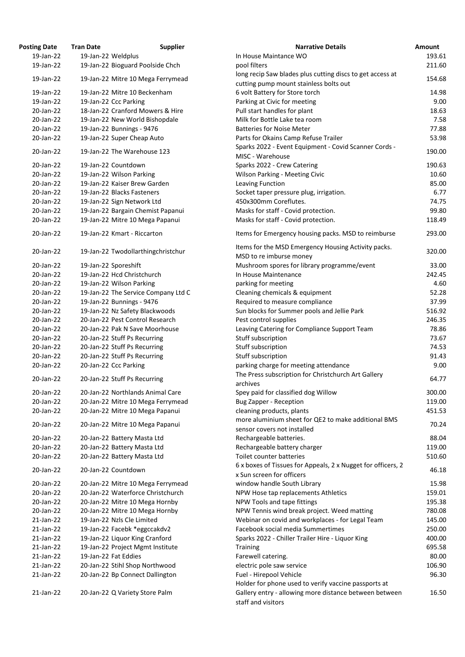| <b>osting Date</b> | <b>Tran Date</b>   | <b>Supplier</b>                     | <b>Narrative Details</b>                                   |
|--------------------|--------------------|-------------------------------------|------------------------------------------------------------|
| 19-Jan-22          | 19-Jan-22 Weldplus |                                     | In House Maintance WO                                      |
| 19-Jan-22          |                    | 19-Jan-22 Bioguard Poolside Chch    | pool filters                                               |
|                    |                    |                                     | long recip Saw blades plus cutting discs to get access at  |
| 19-Jan-22          |                    | 19-Jan-22 Mitre 10 Mega Ferrymead   | cutting pump mount stainless bolts out                     |
| 19-Jan-22          |                    | 19-Jan-22 Mitre 10 Beckenham        | 6 volt Battery for Store torch                             |
| 19-Jan-22          |                    | 19-Jan-22 Ccc Parking               | Parking at Civic for meeting                               |
| 20-Jan-22          |                    | 18-Jan-22 Cranford Mowers & Hire    | Pull start handles for plant                               |
| 20-Jan-22          |                    | 19-Jan-22 New World Bishopdale      | Milk for Bottle Lake tea room                              |
| 20-Jan-22          |                    | 19-Jan-22 Bunnings - 9476           | <b>Batteries for Noise Meter</b>                           |
| 20-Jan-22          |                    | 19-Jan-22 Super Cheap Auto          | Parts for Okains Camp Refuse Trailer                       |
|                    |                    |                                     | Sparks 2022 - Event Equipment - Covid Scanner Cords -      |
| 20-Jan-22          |                    | 19-Jan-22 The Warehouse 123         | MISC - Warehouse                                           |
| 20-Jan-22          |                    | 19-Jan-22 Countdown                 | Sparks 2022 - Crew Catering                                |
| 20-Jan-22          |                    | 19-Jan-22 Wilson Parking            | <b>Wilson Parking - Meeting Civic</b>                      |
| 20-Jan-22          |                    | 19-Jan-22 Kaiser Brew Garden        | Leaving Function                                           |
| 20-Jan-22          |                    | 19-Jan-22 Blacks Fasteners          | Socket taper pressure plug, irrigation.                    |
| 20-Jan-22          |                    | 19-Jan-22 Sign Network Ltd          | 450x300mm Coreflutes.                                      |
| 20-Jan-22          |                    | 19-Jan-22 Bargain Chemist Papanui   | Masks for staff - Covid protection.                        |
| 20-Jan-22          |                    | 19-Jan-22 Mitre 10 Mega Papanui     | Masks for staff - Covid protection.                        |
|                    |                    |                                     |                                                            |
| 20-Jan-22          |                    | 19-Jan-22 Kmart - Riccarton         | Items for Emergency housing packs. MSD to reimburse        |
| 20-Jan-22          |                    | 19-Jan-22 Twodollarthingchristchur  | Items for the MSD Emergency Housing Activity packs.        |
|                    |                    |                                     | MSD to re imburse money                                    |
| 20-Jan-22          |                    | 19-Jan-22 Sporeshift                | Mushroom spores for library programme/event                |
| 20-Jan-22          |                    | 19-Jan-22 Hcd Christchurch          | In House Maintenance                                       |
| 20-Jan-22          |                    | 19-Jan-22 Wilson Parking            | parking for meeting                                        |
| 20-Jan-22          |                    | 19-Jan-22 The Service Company Ltd C | Cleaning chemicals & equipment                             |
| 20-Jan-22          |                    | 19-Jan-22 Bunnings - 9476           | Required to measure compliance                             |
| 20-Jan-22          |                    | 19-Jan-22 Nz Safety Blackwoods      | Sun blocks for Summer pools and Jellie Park                |
| 20-Jan-22          |                    | 20-Jan-22 Pest Control Research     | Pest control supplies                                      |
| 20-Jan-22          |                    | 20-Jan-22 Pak N Save Moorhouse      | Leaving Catering for Compliance Support Team               |
| 20-Jan-22          |                    | 20-Jan-22 Stuff Ps Recurring        | Stuff subscription                                         |
| 20-Jan-22          |                    | 20-Jan-22 Stuff Ps Recurring        | Stuff subscription                                         |
| 20-Jan-22          |                    | 20-Jan-22 Stuff Ps Recurring        | Stuff subscription                                         |
| 20-Jan-22          |                    | 20-Jan-22 Ccc Parking               | parking charge for meeting attendance                      |
| 20-Jan-22          |                    | 20-Jan-22 Stuff Ps Recurring        | The Press subscription for Christchurch Art Gallery        |
|                    |                    |                                     | archives                                                   |
| 20-Jan-22          |                    | 20-Jan-22 Northlands Animal Care    | Spey paid for classified dog Willow                        |
| 20-Jan-22          |                    | 20-Jan-22 Mitre 10 Mega Ferrymead   | <b>Bug Zapper - Reception</b>                              |
| 20-Jan-22          |                    | 20-Jan-22 Mitre 10 Mega Papanui     | cleaning products, plants                                  |
|                    |                    |                                     | more aluminium sheet for QE2 to make additional BMS        |
| 20-Jan-22          |                    | 20-Jan-22 Mitre 10 Mega Papanui     | sensor covers not installed                                |
| 20-Jan-22          |                    | 20-Jan-22 Battery Masta Ltd         | Rechargeable batteries.                                    |
| 20-Jan-22          |                    | 20-Jan-22 Battery Masta Ltd         | Rechargeable battery charger                               |
| 20-Jan-22          |                    | 20-Jan-22 Battery Masta Ltd         | Toilet counter batteries                                   |
| 20-Jan-22          |                    | 20-Jan-22 Countdown                 | 6 x boxes of Tissues for Appeals, 2 x Nugget for officers, |
|                    |                    |                                     | x Sun screen for officers                                  |
| 20-Jan-22          |                    | 20-Jan-22 Mitre 10 Mega Ferrymead   | window handle South Library                                |
| 20-Jan-22          |                    | 20-Jan-22 Waterforce Christchurch   | NPW Hose tap replacements Athletics                        |
| 20-Jan-22          |                    | 20-Jan-22 Mitre 10 Mega Hornby      | NPW Tools and tape fittings                                |
| 20-Jan-22          |                    | 20-Jan-22 Mitre 10 Mega Hornby      | NPW Tennis wind break project. Weed matting                |
| 21-Jan-22          |                    | 19-Jan-22 Nzls Cle Limited          | Webinar on covid and workplaces - for Legal Team           |
| 21-Jan-22          |                    | 19-Jan-22 Facebk *eggccakdv2        | Facebook social media Summertimes                          |
| 21-Jan-22          |                    | 19-Jan-22 Liquor King Cranford      | Sparks 2022 - Chiller Trailer Hire - Liquor King           |
| 21-Jan-22          |                    | 19-Jan-22 Project Mgmt Institute    | <b>Training</b>                                            |
| 21-Jan-22          |                    | 19-Jan-22 Fat Eddies                | Farewell catering.                                         |
| 21-Jan-22          |                    | 20-Jan-22 Stihl Shop Northwood      | electric pole saw service                                  |
| $21$ -Jan-22       |                    | 20-Jan-22 Bp Connect Dallington     | Fuel - Hirepool Vehicle                                    |
|                    |                    |                                     | Holder for phone used to verify vaccine passports at       |
| 21-Jan-22          |                    | 20-Jan-22 Q Variety Store Palm      | Gallery entry - allowing more distance between betwee      |

| <b>Posting Date</b> | <b>Tran Date</b>     | <b>Supplier</b>                     | <b>Narrative Details</b>                                                     | <b>Amount</b> |
|---------------------|----------------------|-------------------------------------|------------------------------------------------------------------------------|---------------|
| 19-Jan-22           | 19-Jan-22 Weldplus   |                                     | In House Maintance WO                                                        | 193.61        |
| 19-Jan-22           |                      | 19-Jan-22 Bioguard Poolside Chch    | pool filters                                                                 | 211.60        |
|                     |                      |                                     | long recip Saw blades plus cutting discs to get access at                    |               |
| 19-Jan-22           |                      | 19-Jan-22 Mitre 10 Mega Ferrymead   | cutting pump mount stainless bolts out                                       | 154.68        |
| 19-Jan-22           |                      | 19-Jan-22 Mitre 10 Beckenham        | 6 volt Battery for Store torch                                               | 14.98         |
| 19-Jan-22           |                      | 19-Jan-22 Ccc Parking               | Parking at Civic for meeting                                                 | 9.00          |
| 20-Jan-22           |                      | 18-Jan-22 Cranford Mowers & Hire    | Pull start handles for plant                                                 | 18.63         |
| 20-Jan-22           |                      | 19-Jan-22 New World Bishopdale      | Milk for Bottle Lake tea room                                                | 7.58          |
| 20-Jan-22           |                      | 19-Jan-22 Bunnings - 9476           | <b>Batteries for Noise Meter</b>                                             | 77.88         |
| 20-Jan-22           |                      | 19-Jan-22 Super Cheap Auto          | Parts for Okains Camp Refuse Trailer                                         | 53.98         |
|                     |                      |                                     |                                                                              |               |
| 20-Jan-22           |                      | 19-Jan-22 The Warehouse 123         | Sparks 2022 - Event Equipment - Covid Scanner Cords -                        | 190.00        |
|                     |                      |                                     | MISC - Warehouse                                                             |               |
| 20-Jan-22           |                      | 19-Jan-22 Countdown                 | Sparks 2022 - Crew Catering                                                  | 190.63        |
| 20-Jan-22           |                      | 19-Jan-22 Wilson Parking            | <b>Wilson Parking - Meeting Civic</b>                                        | 10.60         |
| 20-Jan-22           |                      | 19-Jan-22 Kaiser Brew Garden        | Leaving Function                                                             | 85.00         |
| 20-Jan-22           |                      | 19-Jan-22 Blacks Fasteners          | Socket taper pressure plug, irrigation.                                      | 6.77          |
| 20-Jan-22           |                      | 19-Jan-22 Sign Network Ltd          | 450x300mm Coreflutes.                                                        | 74.75         |
| 20-Jan-22           |                      | 19-Jan-22 Bargain Chemist Papanui   | Masks for staff - Covid protection.                                          | 99.80         |
| 20-Jan-22           |                      | 19-Jan-22 Mitre 10 Mega Papanui     | Masks for staff - Covid protection.                                          | 118.49        |
| 20-Jan-22           |                      | 19-Jan-22 Kmart - Riccarton         | Items for Emergency housing packs. MSD to reimburse                          | 293.00        |
|                     |                      |                                     |                                                                              |               |
|                     |                      |                                     | Items for the MSD Emergency Housing Activity packs.                          | 320.00        |
| 20-Jan-22           |                      | 19-Jan-22 Twodollarthingchristchur  | MSD to re imburse money                                                      |               |
| 20-Jan-22           |                      | 19-Jan-22 Sporeshift                | Mushroom spores for library programme/event                                  | 33.00         |
| 20-Jan-22           |                      | 19-Jan-22 Hcd Christchurch          | In House Maintenance                                                         | 242.45        |
| 20-Jan-22           |                      | 19-Jan-22 Wilson Parking            | parking for meeting                                                          | 4.60          |
| 20-Jan-22           |                      | 19-Jan-22 The Service Company Ltd C | Cleaning chemicals & equipment                                               | 52.28         |
| 20-Jan-22           |                      | 19-Jan-22 Bunnings - 9476           | Required to measure compliance                                               | 37.99         |
| 20-Jan-22           |                      | 19-Jan-22 Nz Safety Blackwoods      | Sun blocks for Summer pools and Jellie Park                                  | 516.92        |
| 20-Jan-22           |                      | 20-Jan-22 Pest Control Research     | Pest control supplies                                                        | 246.35        |
| 20-Jan-22           |                      | 20-Jan-22 Pak N Save Moorhouse      | Leaving Catering for Compliance Support Team                                 | 78.86         |
| 20-Jan-22           |                      | 20-Jan-22 Stuff Ps Recurring        | Stuff subscription                                                           | 73.67         |
| 20-Jan-22           |                      | 20-Jan-22 Stuff Ps Recurring        | Stuff subscription                                                           | 74.53         |
| 20-Jan-22           |                      | 20-Jan-22 Stuff Ps Recurring        | Stuff subscription                                                           | 91.43         |
| 20-Jan-22           |                      |                                     |                                                                              | 9.00          |
|                     |                      | 20-Jan-22 Ccc Parking               | parking charge for meeting attendance                                        |               |
| 20-Jan-22           |                      | 20-Jan-22 Stuff Ps Recurring        | The Press subscription for Christchurch Art Gallery                          | 64.77         |
|                     |                      |                                     | archives                                                                     |               |
| 20-Jan-22           |                      | 20-Jan-22 Northlands Animal Care    | Spey paid for classified dog Willow                                          | 300.00        |
| 20-Jan-22           |                      | 20-Jan-22 Mitre 10 Mega Ferrymead   | <b>Bug Zapper - Reception</b>                                                | 119.00        |
| 20-Jan-22           |                      | 20-Jan-22 Mitre 10 Mega Papanui     | cleaning products, plants                                                    | 451.53        |
| 20-Jan-22           |                      | 20-Jan-22 Mitre 10 Mega Papanui     | more aluminium sheet for QE2 to make additional BMS                          | 70.24         |
|                     |                      |                                     | sensor covers not installed                                                  |               |
| 20-Jan-22           |                      | 20-Jan-22 Battery Masta Ltd         | Rechargeable batteries.                                                      | 88.04         |
| 20-Jan-22           |                      | 20-Jan-22 Battery Masta Ltd         | Rechargeable battery charger                                                 | 119.00        |
| 20-Jan-22           |                      | 20-Jan-22 Battery Masta Ltd         | Toilet counter batteries                                                     | 510.60        |
| 20-Jan-22           |                      | 20-Jan-22 Countdown                 | 6 x boxes of Tissues for Appeals, 2 x Nugget for officers, 2                 | 46.18         |
|                     |                      |                                     | x Sun screen for officers                                                    |               |
| 20-Jan-22           |                      | 20-Jan-22 Mitre 10 Mega Ferrymead   | window handle South Library                                                  | 15.98         |
| 20-Jan-22           |                      | 20-Jan-22 Waterforce Christchurch   | NPW Hose tap replacements Athletics                                          | 159.01        |
| 20-Jan-22           |                      | 20-Jan-22 Mitre 10 Mega Hornby      | NPW Tools and tape fittings                                                  | 195.38        |
| 20-Jan-22           |                      | 20-Jan-22 Mitre 10 Mega Hornby      | NPW Tennis wind break project. Weed matting                                  | 780.08        |
| 21-Jan-22           |                      | 19-Jan-22 Nzls Cle Limited          | Webinar on covid and workplaces - for Legal Team                             | 145.00        |
| $21$ -Jan-22        |                      | 19-Jan-22 Facebk *eggccakdv2        | Facebook social media Summertimes                                            | 250.00        |
| $21$ -Jan- $22$     |                      | 19-Jan-22 Liquor King Cranford      | Sparks 2022 - Chiller Trailer Hire - Liquor King                             | 400.00        |
| $21$ -Jan-22        |                      | 19-Jan-22 Project Mgmt Institute    | Training                                                                     | 695.58        |
| 21-Jan-22           | 19-Jan-22 Fat Eddies |                                     | Farewell catering.                                                           | 80.00         |
| $21$ -Jan-22        |                      | 20-Jan-22 Stihl Shop Northwood      | electric pole saw service                                                    | 106.90        |
| $21$ -Jan-22        |                      | 20-Jan-22 Bp Connect Dallington     | Fuel - Hirepool Vehicle                                                      | 96.30         |
|                     |                      |                                     | Holder for phone used to verify vaccine passports at                         |               |
| 21-Jan-22           |                      |                                     |                                                                              |               |
|                     |                      | 20-Jan-22 Q Variety Store Palm      | Gallery entry - allowing more distance between between<br>staff and visitors | 16.50         |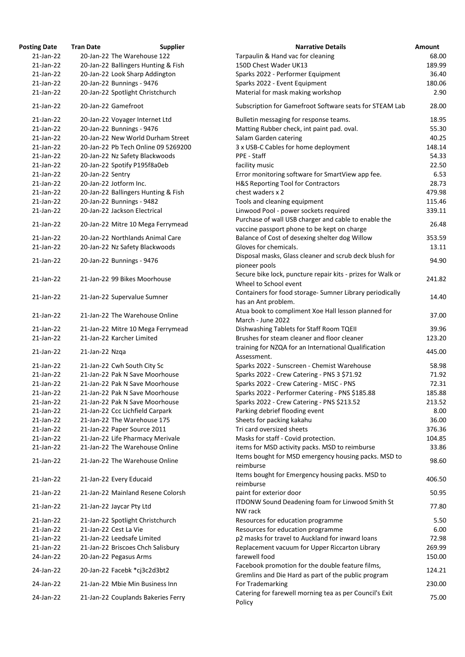| osting Date     | <b>Tran Date</b>      | <b>Supplier</b>                     | <b>Narrative Details</b>                                                    |
|-----------------|-----------------------|-------------------------------------|-----------------------------------------------------------------------------|
| $21$ -Jan-22    |                       | 20-Jan-22 The Warehouse 122         | Tarpaulin & Hand vac for cleaning                                           |
| $21$ -Jan-22    |                       | 20-Jan-22 Ballingers Hunting & Fish | 150D Chest Wader UK13                                                       |
| $21$ -Jan-22    |                       | 20-Jan-22 Look Sharp Addington      | Sparks 2022 - Performer Equipment                                           |
| $21$ -Jan-22    |                       | 20-Jan-22 Bunnings - 9476           | Sparks 2022 - Event Equipment                                               |
| 21-Jan-22       |                       | 20-Jan-22 Spotlight Christchurch    | Material for mask making workshop                                           |
| 21-Jan-22       | 20-Jan-22 Gamefroot   |                                     | Subscription for Gamefroot Software seats for STEAM Lal                     |
| 21-Jan-22       |                       | 20-Jan-22 Voyager Internet Ltd      | Bulletin messaging for response teams.                                      |
| $21$ -Jan-22    |                       | 20-Jan-22 Bunnings - 9476           | Matting Rubber check, int paint pad. oval.                                  |
| $21$ -Jan-22    |                       | 20-Jan-22 New World Durham Street   | Salam Garden catering                                                       |
| $21$ -Jan-22    |                       | 20-Jan-22 Pb Tech Online 09 5269200 | 3 x USB-C Cables for home deployment                                        |
| 21-Jan-22       |                       | 20-Jan-22 Nz Safety Blackwoods      | PPE - Staff                                                                 |
| $21$ -Jan-22    |                       | 20-Jan-22 Spotify P195f8a0eb        | facility music                                                              |
| 21-Jan-22       | 20-Jan-22 Sentry      |                                     | Error monitoring software for SmartView app fee.                            |
| $21$ -Jan-22    |                       | 20-Jan-22 Jotform Inc.              | H&S Reporting Tool for Contractors                                          |
| 21-Jan-22       |                       | 20-Jan-22 Ballingers Hunting & Fish | chest waders x 2                                                            |
| $21$ -Jan-22    |                       | 20-Jan-22 Bunnings - 9482           | Tools and cleaning equipment                                                |
| 21-Jan-22       |                       | 20-Jan-22 Jackson Electrical        | Linwood Pool - power sockets required                                       |
| 21-Jan-22       |                       | 20-Jan-22 Mitre 10 Mega Ferrymead   | Purchase of wall USB charger and cable to enable the                        |
|                 |                       |                                     | vaccine passport phone to be kept on charge                                 |
| 21-Jan-22       |                       | 20-Jan-22 Northlands Animal Care    | Balance of Cost of desexing shelter dog Willow                              |
| 21-Jan-22       |                       | 20-Jan-22 Nz Safety Blackwoods      | Gloves for chemicals.                                                       |
| 21-Jan-22       |                       | 20-Jan-22 Bunnings - 9476           | Disposal masks, Glass cleaner and scrub deck blush for<br>pioneer pools     |
| $21$ -Jan-22    |                       | 21-Jan-22 99 Bikes Moorhouse        | Secure bike lock, puncture repair kits - prizes for Walk or                 |
|                 |                       |                                     | Wheel to School event                                                       |
| 21-Jan-22       |                       |                                     | Containers for food storage- Sumner Library periodically                    |
|                 |                       | 21-Jan-22 Supervalue Sumner         | has an Ant problem.                                                         |
| 21-Jan-22       |                       | 21-Jan-22 The Warehouse Online      | Atua book to compliment Xoe Hall lesson planned for                         |
|                 |                       |                                     | March - June 2022                                                           |
| 21-Jan-22       |                       | 21-Jan-22 Mitre 10 Mega Ferrymead   | Dishwashing Tablets for Staff Room TQEII                                    |
| $21$ -Jan-22    |                       | 21-Jan-22 Karcher Limited           | Brushes for steam cleaner and floor cleaner                                 |
| 21-Jan-22       | 21-Jan-22 Nzqa        |                                     | training for NZQA for an International Qualification<br>Assessment.         |
| 21-Jan-22       |                       | 21-Jan-22 Cwh South City Sc         | Sparks 2022 - Sunscreen - Chemist Warehouse                                 |
| $21$ -Jan-22    |                       | 21-Jan-22 Pak N Save Moorhouse      | Sparks 2022 - Crew Catering - PNS 3 \$71.92                                 |
| 21-Jan-22       |                       | 21-Jan-22 Pak N Save Moorhouse      | Sparks 2022 - Crew Catering - MISC - PNS                                    |
| $21$ -Jan-22    |                       | 21-Jan-22 Pak N Save Moorhouse      | Sparks 2022 - Performer Catering - PNS \$185.88                             |
| 21-Jan-22       |                       | 21-Jan-22 Pak N Save Moorhouse      | Sparks 2022 - Crew Catering - PNS \$213.52                                  |
| 21-Jan-22       |                       | 21-Jan-22 Ccc Lichfield Carpark     | Parking debrief flooding event                                              |
| 21-Jan-22       |                       | 21-Jan-22 The Warehouse 175         | Sheets for packing kakahu                                                   |
| $21$ -Jan-22    |                       | 21-Jan-22 Paper Source 2011         | Tri card oversized sheets                                                   |
| $21$ -Jan-22    |                       | 21-Jan-22 Life Pharmacy Merivale    | Masks for staff - Covid protection.                                         |
| 21-Jan-22       |                       | 21-Jan-22 The Warehouse Online      | items for MSD activity packs. MSD to reimburse                              |
| 21-Jan-22       |                       | 21-Jan-22 The Warehouse Online      | Items bought for MSD emergency housing packs. MSD to<br>reimburse           |
| 21-Jan-22       |                       | 21-Jan-22 Every Educaid             | Items bought for Emergency housing packs. MSD to<br>reimburse               |
| 21-Jan-22       |                       | 21-Jan-22 Mainland Resene Colorsh   | paint for exterior door<br>ITDONW Sound Deadening foam for Linwood Smith St |
| 21-Jan-22       |                       | 21-Jan-22 Jaycar Pty Ltd            | NW rack                                                                     |
| $21$ -Jan-22    |                       | 21-Jan-22 Spotlight Christchurch    | Resources for education programme                                           |
| 21-Jan-22       | 21-Jan-22 Cest La Vie |                                     | Resources for education programme                                           |
| 21-Jan-22       |                       | 21-Jan-22 Leedsafe Limited          | p2 masks for travel to Auckland for inward loans                            |
| 21-Jan-22       |                       | 21-Jan-22 Briscoes Chch Salisbury   | Replacement vacuum for Upper Riccarton Library                              |
| 24-Jan-22       |                       | 20-Jan-22 Pegasus Arms              | farewell food                                                               |
| 24-Jan-22       |                       | 20-Jan-22 Facebk *cj3c2d3bt2        | Facebook promotion for the double feature films,                            |
|                 |                       |                                     | Gremlins and Die Hard as part of the public program                         |
| 24-Jan-22       |                       | 21-Jan-22 Mbie Min Business Inn     | For Trademarking<br>Catering for farewell morning tea as per Council's Exit |
| $24$ -lan- $22$ |                       | 21-Jan-22 Couplands Rakeries Ferry  |                                                                             |

| <b>Posting Date</b> | <b>Tran Date</b> | <b>Supplier</b>                     | <b>Narrative Details</b>                                                             | <b>Amount</b> |
|---------------------|------------------|-------------------------------------|--------------------------------------------------------------------------------------|---------------|
| $21$ -Jan-22        |                  | 20-Jan-22 The Warehouse 122         | Tarpaulin & Hand vac for cleaning                                                    | 68.00         |
| 21-Jan-22           |                  | 20-Jan-22 Ballingers Hunting & Fish | 150D Chest Wader UK13                                                                | 189.99        |
| $21$ -Jan-22        |                  | 20-Jan-22 Look Sharp Addington      | Sparks 2022 - Performer Equipment                                                    | 36.40         |
| 21-Jan-22           |                  | 20-Jan-22 Bunnings - 9476           | Sparks 2022 - Event Equipment                                                        | 180.06        |
| 21-Jan-22           |                  | 20-Jan-22 Spotlight Christchurch    | Material for mask making workshop                                                    | 2.90          |
| $21$ -Jan-22        |                  | 20-Jan-22 Gamefroot                 | Subscription for Gamefroot Software seats for STEAM Lab                              | 28.00         |
| $21$ -Jan-22        |                  | 20-Jan-22 Voyager Internet Ltd      | Bulletin messaging for response teams.                                               | 18.95         |
| 21-Jan-22           |                  | 20-Jan-22 Bunnings - 9476           | Matting Rubber check, int paint pad. oval.                                           | 55.30         |
| $21$ -Jan-22        |                  | 20-Jan-22 New World Durham Street   | Salam Garden catering                                                                | 40.25         |
| 21-Jan-22           |                  | 20-Jan-22 Pb Tech Online 09 5269200 | 3 x USB-C Cables for home deployment                                                 | 148.14        |
| 21-Jan-22           |                  | 20-Jan-22 Nz Safety Blackwoods      | PPE - Staff                                                                          | 54.33         |
| $21$ -Jan-22        |                  | 20-Jan-22 Spotify P195f8a0eb        | facility music                                                                       | 22.50         |
| 21-Jan-22           | 20-Jan-22 Sentry |                                     | Error monitoring software for SmartView app fee.                                     | 6.53          |
| $21$ -Jan-22        |                  | 20-Jan-22 Jotform Inc.              | H&S Reporting Tool for Contractors                                                   | 28.73         |
| $21$ -Jan-22        |                  | 20-Jan-22 Ballingers Hunting & Fish | chest waders x 2                                                                     | 479.98        |
| $21$ -Jan-22        |                  | 20-Jan-22 Bunnings - 9482           | Tools and cleaning equipment                                                         | 115.46        |
| 21-Jan-22           |                  | 20-Jan-22 Jackson Electrical        | Linwood Pool - power sockets required                                                | 339.11        |
|                     |                  |                                     | Purchase of wall USB charger and cable to enable the                                 |               |
| 21-Jan-22           |                  | 20-Jan-22 Mitre 10 Mega Ferrymead   | vaccine passport phone to be kept on charge                                          | 26.48         |
| 21-Jan-22           |                  | 20-Jan-22 Northlands Animal Care    | Balance of Cost of desexing shelter dog Willow                                       | 353.59        |
| 21-Jan-22           |                  | 20-Jan-22 Nz Safety Blackwoods      | Gloves for chemicals.                                                                | 13.11         |
|                     |                  |                                     | Disposal masks, Glass cleaner and scrub deck blush for                               |               |
| 21-Jan-22           |                  | 20-Jan-22 Bunnings - 9476           | pioneer pools                                                                        | 94.90         |
| 21-Jan-22           |                  | 21-Jan-22 99 Bikes Moorhouse        | Secure bike lock, puncture repair kits - prizes for Walk or<br>Wheel to School event | 241.82        |
|                     |                  |                                     | Containers for food storage- Sumner Library periodically                             |               |
| 21-Jan-22           |                  | 21-Jan-22 Supervalue Sumner         | has an Ant problem.                                                                  | 14.40         |
| 21-Jan-22           |                  | 21-Jan-22 The Warehouse Online      | Atua book to compliment Xoe Hall lesson planned for<br>March - June 2022             | 37.00         |
| $21$ -Jan-22        |                  | 21-Jan-22 Mitre 10 Mega Ferrymead   | Dishwashing Tablets for Staff Room TQEII                                             | 39.96         |
| 21-Jan-22           |                  | 21-Jan-22 Karcher Limited           | Brushes for steam cleaner and floor cleaner                                          | 123.20        |
| 21-Jan-22           | 21-Jan-22 Nzqa   |                                     | training for NZQA for an International Qualification                                 | 445.00        |
|                     |                  |                                     | Assessment.                                                                          |               |
| $21$ -Jan-22        |                  | 21-Jan-22 Cwh South City Sc         | Sparks 2022 - Sunscreen - Chemist Warehouse                                          | 58.98         |
| $21$ -Jan-22        |                  | 21-Jan-22 Pak N Save Moorhouse      | Sparks 2022 - Crew Catering - PNS 3 \$71.92                                          | 71.92         |
| $21$ -Jan-22        |                  | 21-Jan-22 Pak N Save Moorhouse      | Sparks 2022 - Crew Catering - MISC - PNS                                             | 72.31         |
| 21-Jan-22           |                  | 21-Jan-22 Pak N Save Moorhouse      | Sparks 2022 - Performer Catering - PNS \$185.88                                      | 185.88        |
| 21-Jan-22           |                  | 21-Jan-22 Pak N Save Moorhouse      | Sparks 2022 - Crew Catering - PNS \$213.52                                           | 213.52        |
| 21-Jan-22           |                  | 21-Jan-22 Ccc Lichfield Carpark     | Parking debrief flooding event                                                       | 8.00          |
| $21$ -Jan-22        |                  | 21-Jan-22 The Warehouse 175         | Sheets for packing kakahu                                                            | 36.00         |
| 21-Jan-22           |                  | 21-Jan-22 Paper Source 2011         | Tri card oversized sheets                                                            | 376.36        |
| 21-Jan-22           |                  | 21-Jan-22 Life Pharmacy Merivale    | Masks for staff - Covid protection.                                                  | 104.85        |
| 21-Jan-22           |                  | 21-Jan-22 The Warehouse Online      | items for MSD activity packs. MSD to reimburse                                       | 33.86         |
| 21-Jan-22           |                  | 21-Jan-22 The Warehouse Online      | Items bought for MSD emergency housing packs. MSD to<br>reimburse                    | 98.60         |
| 21-Jan-22           |                  | 21-Jan-22 Every Educaid             | Items bought for Emergency housing packs. MSD to<br>reimburse                        | 406.50        |
| 21-Jan-22           |                  | 21-Jan-22 Mainland Resene Colorsh   | paint for exterior door                                                              | 50.95         |
| 21-Jan-22           |                  | 21-Jan-22 Jaycar Pty Ltd            | <b>ITDONW Sound Deadening foam for Linwood Smith St</b><br>NW rack                   | 77.80         |
| 21-Jan-22           |                  | 21-Jan-22 Spotlight Christchurch    | Resources for education programme                                                    | 5.50          |
| 21-Jan-22           |                  | 21-Jan-22 Cest La Vie               | Resources for education programme                                                    | 6.00          |
| 21-Jan-22           |                  | 21-Jan-22 Leedsafe Limited          | p2 masks for travel to Auckland for inward loans                                     | 72.98         |
| $21$ -Jan-22        |                  | 21-Jan-22 Briscoes Chch Salisbury   | Replacement vacuum for Upper Riccarton Library                                       | 269.99        |
| 24-Jan-22           |                  | 20-Jan-22 Pegasus Arms              | farewell food                                                                        | 150.00        |
|                     |                  |                                     | Facebook promotion for the double feature films,                                     |               |
| 24-Jan-22           |                  | 20-Jan-22 Facebk *cj3c2d3bt2        | Gremlins and Die Hard as part of the public program                                  | 124.21        |
| 24-Jan-22           |                  | 21-Jan-22 Mbie Min Business Inn     | For Trademarking                                                                     | 230.00        |
| 24-Jan-22           |                  | 21-Jan-22 Couplands Bakeries Ferry  | Catering for farewell morning tea as per Council's Exit<br>Policy                    | 75.00         |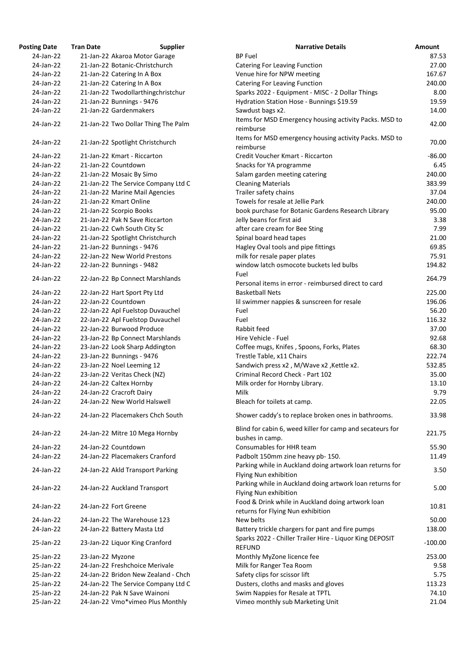| <b>Posting Date</b> | <b>Tran Date</b>             | <b>Supplier</b>                     | <b>Narrative Details</b>                                                  |
|---------------------|------------------------------|-------------------------------------|---------------------------------------------------------------------------|
| 24-Jan-22           |                              | 21-Jan-22 Akaroa Motor Garage       | <b>BP Fuel</b>                                                            |
| 24-Jan-22           |                              | 21-Jan-22 Botanic-Christchurch      | <b>Catering For Leaving Function</b>                                      |
| 24-Jan-22           | 21-Jan-22 Catering In A Box  |                                     | Venue hire for NPW meeting                                                |
| 24-Jan-22           | 21-Jan-22 Catering In A Box  |                                     | <b>Catering For Leaving Function</b>                                      |
| 24-Jan-22           |                              | 21-Jan-22 Twodollarthingchristchur  | Sparks 2022 - Equipment - MISC - 2 Dollar Things                          |
| 24-Jan-22           | 21-Jan-22 Bunnings - 9476    |                                     | Hydration Station Hose - Bunnings \$19.59                                 |
| 24-Jan-22           | 21-Jan-22 Gardenmakers       |                                     | Sawdust bags x2.                                                          |
| 24-Jan-22           |                              |                                     | Items for MSD Emergency housing activity Packs. MSD to                    |
|                     |                              | 21-Jan-22 Two Dollar Thing The Palm | reimburse                                                                 |
| 24-Jan-22           |                              | 21-Jan-22 Spotlight Christchurch    | Items for MSD emergency housing activity Packs. MSD to<br>reimburse       |
| 24-Jan-22           | 21-Jan-22 Kmart - Riccarton  |                                     | Credit Voucher Kmart - Riccarton                                          |
| 24-Jan-22           | 21-Jan-22 Countdown          |                                     | Snacks for YA programme                                                   |
| 24-Jan-22           | 21-Jan-22 Mosaic By Simo     |                                     | Salam garden meeting catering                                             |
| 24-Jan-22           |                              | 21-Jan-22 The Service Company Ltd C | <b>Cleaning Materials</b>                                                 |
| 24-Jan-22           |                              | 21-Jan-22 Marine Mail Agencies      | Trailer safety chains                                                     |
| 24-Jan-22           | 21-Jan-22 Kmart Online       |                                     | Towels for resale at Jellie Park                                          |
| 24-Jan-22           | 21-Jan-22 Scorpio Books      |                                     | book purchase for Botanic Gardens Research Library                        |
| 24-Jan-22           |                              | 21-Jan-22 Pak N Save Riccarton      | Jelly beans for first aid                                                 |
| 24-Jan-22           | 21-Jan-22 Cwh South City Sc  |                                     | after care cream for Bee Sting                                            |
| 24-Jan-22           |                              | 21-Jan-22 Spotlight Christchurch    | Spinal board head tapes                                                   |
| 24-Jan-22           | 21-Jan-22 Bunnings - 9476    |                                     | Hagley Oval tools and pipe fittings                                       |
| 24-Jan-22           |                              | 22-Jan-22 New World Prestons        | milk for resale paper plates                                              |
| 24-Jan-22           | 22-Jan-22 Bunnings - 9482    |                                     | window latch osmocote buckets led bulbs                                   |
|                     |                              |                                     | Fuel                                                                      |
| 24-Jan-22           |                              | 22-Jan-22 Bp Connect Marshlands     | Personal items in error - reimbursed direct to card                       |
| 24-Jan-22           | 22-Jan-22 Hart Sport Pty Ltd |                                     | <b>Basketball Nets</b>                                                    |
| 24-Jan-22           | 22-Jan-22 Countdown          |                                     | lil swimmer nappies & sunscreen for resale                                |
| 24-Jan-22           |                              | 22-Jan-22 Apl Fuelstop Duvauchel    | Fuel                                                                      |
| 24-Jan-22           |                              | 22-Jan-22 Apl Fuelstop Duvauchel    | Fuel                                                                      |
| 24-Jan-22           | 22-Jan-22 Burwood Produce    |                                     | Rabbit feed                                                               |
| 24-Jan-22           |                              | 23-Jan-22 Bp Connect Marshlands     | Hire Vehicle - Fuel                                                       |
| 24-Jan-22           |                              | 23-Jan-22 Look Sharp Addington      | Coffee mugs, Knifes, Spoons, Forks, Plates                                |
| 24-Jan-22           | 23-Jan-22 Bunnings - 9476    |                                     | Trestle Table, x11 Chairs                                                 |
| 24-Jan-22           | 23-Jan-22 Noel Leeming 12    |                                     | Sandwich press x2, M/Wave x2, Kettle x2.                                  |
| 24-Jan-22           | 23-Jan-22 Veritas Check (NZ) |                                     | Criminal Record Check - Part 102                                          |
| 24-Jan-22           | 24-Jan-22 Caltex Hornby      |                                     | Milk order for Hornby Library.                                            |
| 24-Jan-22           | 24-Jan-22 Cracroft Dairy     |                                     | Milk                                                                      |
| 24-Jan-22           |                              | 24-Jan-22 New World Halswell        | Bleach for toilets at camp.                                               |
| 24-Jan-22           |                              | 24-Jan-22 Placemakers Chch South    | Shower caddy's to replace broken ones in bathrooms.                       |
|                     |                              |                                     | Blind for cabin 6, weed killer for camp and secateurs for                 |
| 24-Jan-22           |                              | 24-Jan-22 Mitre 10 Mega Hornby      | bushes in camp.                                                           |
| 24-Jan-22           | 24-Jan-22 Countdown          |                                     | Consumables for HHR team                                                  |
| 24-Jan-22           |                              | 24-Jan-22 Placemakers Cranford      | Padbolt 150mm zine heavy pb- 150.                                         |
|                     |                              |                                     | Parking while in Auckland doing artwork loan returns for                  |
| 24-Jan-22           |                              | 24-Jan-22 Akld Transport Parking    | Flying Nun exhibition                                                     |
| 24-Jan-22           |                              | 24-Jan-22 Auckland Transport        | Parking while in Auckland doing artwork loan returns for                  |
|                     |                              |                                     | Flying Nun exhibition                                                     |
| 24-Jan-22           | 24-Jan-22 Fort Greene        |                                     | Food & Drink while in Auckland doing artwork loan                         |
|                     |                              |                                     | returns for Flying Nun exhibition                                         |
| 24-Jan-22           |                              | 24-Jan-22 The Warehouse 123         | New belts                                                                 |
| 24-Jan-22           | 24-Jan-22 Battery Masta Ltd  |                                     | Battery trickle chargers for pant and fire pumps                          |
| 25-Jan-22           |                              | 23-Jan-22 Liquor King Cranford      | Sparks 2022 - Chiller Trailer Hire - Liquor King DEPOSIT<br><b>REFUND</b> |
| 25-Jan-22           | 23-Jan-22 Myzone             |                                     | Monthly MyZone licence fee                                                |
| 25-Jan-22           |                              | 24-Jan-22 Freshchoice Merivale      | Milk for Ranger Tea Room                                                  |
| 25-Jan-22           |                              | 24-Jan-22 Bridon New Zealand - Chch | Safety clips for scissor lift                                             |
| 25-Jan-22           |                              | 24-Jan-22 The Service Company Ltd C | Dusters, cloths and masks and gloves                                      |
| 25-Jan-22           |                              | 24-Jan-22 Pak N Save Wainoni        | Swim Nappies for Resale at TPTL                                           |
| 25-Jan-22           |                              | 24-Jan-22 Vmo*vimeo Plus Monthly    | Vimeo monthly sub Marketing Unit                                          |

| ing Date               | <b>Tran Date</b> | <b>Supplier</b>                                     | <b>Narrative Details</b>                                                                                     | <b>Amount</b>    |
|------------------------|------------------|-----------------------------------------------------|--------------------------------------------------------------------------------------------------------------|------------------|
| 24-Jan-22              |                  | 21-Jan-22 Akaroa Motor Garage                       | <b>BP Fuel</b>                                                                                               | 87.53            |
| 24-Jan-22              |                  | 21-Jan-22 Botanic-Christchurch                      | <b>Catering For Leaving Function</b>                                                                         | 27.00            |
| 24-Jan-22              |                  | 21-Jan-22 Catering In A Box                         | Venue hire for NPW meeting                                                                                   | 167.67           |
| 24-Jan-22              |                  | 21-Jan-22 Catering In A Box                         | <b>Catering For Leaving Function</b>                                                                         | 240.00           |
| 24-Jan-22              |                  | 21-Jan-22 Twodollarthingchristchur                  | Sparks 2022 - Equipment - MISC - 2 Dollar Things                                                             | 8.00             |
| 24-Jan-22              |                  | 21-Jan-22 Bunnings - 9476                           | Hydration Station Hose - Bunnings \$19.59                                                                    | 19.59            |
| 24-Jan-22              |                  | 21-Jan-22 Gardenmakers                              | Sawdust bags x2.                                                                                             | 14.00            |
|                        |                  |                                                     | Items for MSD Emergency housing activity Packs. MSD to                                                       |                  |
| 24-Jan-22              |                  | 21-Jan-22 Two Dollar Thing The Palm                 | reimburse                                                                                                    | 42.00            |
| 24-Jan-22              |                  | 21-Jan-22 Spotlight Christchurch                    | Items for MSD emergency housing activity Packs. MSD to<br>reimburse                                          | 70.00            |
| 24-Jan-22              |                  | 21-Jan-22 Kmart - Riccarton                         | Credit Voucher Kmart - Riccarton                                                                             | $-86.00$         |
| 24-Jan-22              |                  | 21-Jan-22 Countdown                                 | Snacks for YA programme                                                                                      | 6.45             |
| 24-Jan-22              |                  | 21-Jan-22 Mosaic By Simo                            | Salam garden meeting catering                                                                                | 240.00           |
| 24-Jan-22              |                  | 21-Jan-22 The Service Company Ltd C                 | <b>Cleaning Materials</b>                                                                                    | 383.99           |
| 24-Jan-22              |                  | 21-Jan-22 Marine Mail Agencies                      | Trailer safety chains                                                                                        | 37.04            |
| 24-Jan-22              |                  | 21-Jan-22 Kmart Online                              | Towels for resale at Jellie Park                                                                             | 240.00           |
| 24-Jan-22              |                  | 21-Jan-22 Scorpio Books                             | book purchase for Botanic Gardens Research Library                                                           | 95.00            |
| 24-Jan-22              |                  | 21-Jan-22 Pak N Save Riccarton                      | Jelly beans for first aid                                                                                    | 3.38             |
| 24-Jan-22              |                  | 21-Jan-22 Cwh South City Sc                         | after care cream for Bee Sting                                                                               | 7.99             |
|                        |                  |                                                     |                                                                                                              |                  |
| 24-Jan-22              |                  | 21-Jan-22 Spotlight Christchurch                    | Spinal board head tapes                                                                                      | 21.00            |
| 24-Jan-22              |                  | 21-Jan-22 Bunnings - 9476                           | Hagley Oval tools and pipe fittings                                                                          | 69.85            |
| 24-Jan-22              |                  | 22-Jan-22 New World Prestons                        | milk for resale paper plates                                                                                 | 75.91            |
| 24-Jan-22              |                  | 22-Jan-22 Bunnings - 9482                           | window latch osmocote buckets led bulbs<br>Fuel                                                              | 194.82           |
| 24-Jan-22<br>24-Jan-22 |                  | 22-Jan-22 Bp Connect Marshlands                     | Personal items in error - reimbursed direct to card<br><b>Basketball Nets</b>                                | 264.79<br>225.00 |
| 24-Jan-22              |                  | 22-Jan-22 Hart Sport Pty Ltd<br>22-Jan-22 Countdown |                                                                                                              | 196.06           |
|                        |                  |                                                     | lil swimmer nappies & sunscreen for resale                                                                   |                  |
| 24-Jan-22              |                  | 22-Jan-22 Apl Fuelstop Duvauchel                    | Fuel                                                                                                         | 56.20            |
| 24-Jan-22              |                  | 22-Jan-22 Apl Fuelstop Duvauchel                    | Fuel                                                                                                         | 116.32           |
| 24-Jan-22              |                  | 22-Jan-22 Burwood Produce                           | Rabbit feed                                                                                                  | 37.00            |
| 24-Jan-22              |                  | 23-Jan-22 Bp Connect Marshlands                     | Hire Vehicle - Fuel                                                                                          | 92.68            |
| 24-Jan-22              |                  | 23-Jan-22 Look Sharp Addington                      | Coffee mugs, Knifes, Spoons, Forks, Plates                                                                   | 68.30            |
| 24-Jan-22              |                  | 23-Jan-22 Bunnings - 9476                           | Trestle Table, x11 Chairs                                                                                    | 222.74           |
| 24-Jan-22              |                  | 23-Jan-22 Noel Leeming 12                           | Sandwich press x2, M/Wave x2, Kettle x2.                                                                     | 532.85           |
| 24-Jan-22              |                  | 23-Jan-22 Veritas Check (NZ)                        | Criminal Record Check - Part 102                                                                             | 35.00            |
| 24-Jan-22              |                  | 24-Jan-22 Caltex Hornby                             | Milk order for Hornby Library.                                                                               | 13.10            |
| 24-Jan-22              |                  | 24-Jan-22 Cracroft Dairy                            | Milk                                                                                                         | 9.79             |
| 24-Jan-22              |                  | 24-Jan-22 New World Halswell                        | Bleach for toilets at camp.                                                                                  | 22.05            |
| 24-Jan-22              |                  | 24-Jan-22 Placemakers Chch South                    | Shower caddy's to replace broken ones in bathrooms.                                                          | 33.98            |
| 24-Jan-22              |                  | 24-Jan-22 Mitre 10 Mega Hornby                      | Blind for cabin 6, weed killer for camp and secateurs for<br>bushes in camp.                                 | 221.75           |
| 24-Jan-22              |                  | 24-Jan-22 Countdown                                 | Consumables for HHR team                                                                                     | 55.90            |
| 24-Jan-22              |                  | 24-Jan-22 Placemakers Cranford                      | Padbolt 150mm zine heavy pb- 150.                                                                            | 11.49            |
| 24-Jan-22              |                  | 24-Jan-22 Akld Transport Parking                    | Parking while in Auckland doing artwork loan returns for                                                     | 3.50             |
|                        |                  |                                                     | Flying Nun exhibition<br>Parking while in Auckland doing artwork loan returns for                            |                  |
| 24-Jan-22              |                  | 24-Jan-22 Auckland Transport                        | Flying Nun exhibition<br>Food & Drink while in Auckland doing artwork loan                                   | 5.00             |
| 24-Jan-22              |                  | 24-Jan-22 Fort Greene                               | returns for Flying Nun exhibition                                                                            | 10.81            |
| 24-Jan-22              |                  | 24-Jan-22 The Warehouse 123                         | New belts                                                                                                    | 50.00            |
| 24-Jan-22              |                  | 24-Jan-22 Battery Masta Ltd                         | Battery trickle chargers for pant and fire pumps<br>Sparks 2022 - Chiller Trailer Hire - Liquor King DEPOSIT | 138.00           |
| 25-Jan-22              |                  | 23-Jan-22 Liquor King Cranford                      | <b>REFUND</b>                                                                                                | $-100.00$        |
| 25-Jan-22              | 23-Jan-22 Myzone |                                                     | Monthly MyZone licence fee                                                                                   | 253.00           |
| 25-Jan-22              |                  | 24-Jan-22 Freshchoice Merivale                      | Milk for Ranger Tea Room                                                                                     | 9.58             |
| 25-Jan-22              |                  | 24-Jan-22 Bridon New Zealand - Chch                 | Safety clips for scissor lift                                                                                | 5.75             |
| 25-Jan-22              |                  | 24-Jan-22 The Service Company Ltd C                 | Dusters, cloths and masks and gloves                                                                         | 113.23           |
| 25-Jan-22              |                  | 24-Jan-22 Pak N Save Wainoni                        | Swim Nappies for Resale at TPTL                                                                              | 74.10            |
| 25-Jan-22              |                  | 24-Jan-22 Vmo*vimeo Plus Monthly                    | Vimeo monthly sub Marketing Unit                                                                             | 21.04            |
|                        |                  |                                                     |                                                                                                              |                  |